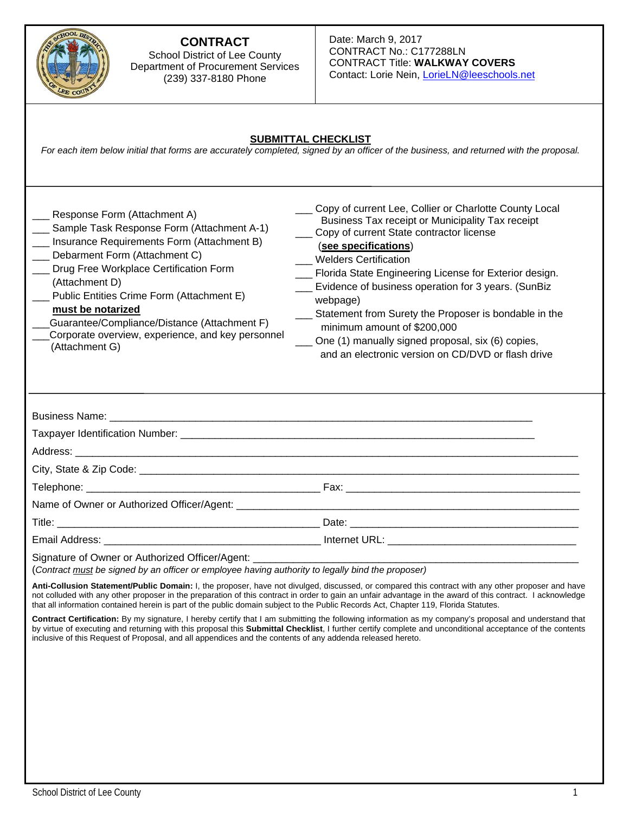

#### **CONTRACT**  School District of Lee County Department of Procurement Services (239) 337-8180 Phone

#### Date: March 9, 2017 CONTRACT No.: C177288LN CONTRACT Title: **WALKWAY COVERS** Contact: Lorie Nein, LorieLN@leeschools.net

#### **SUBMITTAL CHECKLIST**

*For each item below initial that forms are accurately completed, signed by an officer of the business, and returned with the proposal.* 

| Response Form (Attachment A)<br>Sample Task Response Form (Attachment A-1)<br>Insurance Requirements Form (Attachment B)<br>Debarment Form (Attachment C)<br>Drug Free Workplace Certification Form<br>(Attachment D)<br>Public Entities Crime Form (Attachment E)<br>must be notarized<br>Guarantee/Compliance/Distance (Attachment F)<br>Corporate overview, experience, and key personnel<br>(Attachment G) | _ Copy of current Lee, Collier or Charlotte County Local<br>Business Tax receipt or Municipality Tax receipt<br>___ Copy of current State contractor license<br>(see specifications)<br><b>Welders Certification</b><br>__ Florida State Engineering License for Exterior design.<br>Evidence of business operation for 3 years. (SunBiz<br>webpage)<br>___ Statement from Surety the Proposer is bondable in the<br>minimum amount of \$200,000<br>___ One (1) manually signed proposal, six (6) copies,<br>and an electronic version on CD/DVD or flash drive |
|----------------------------------------------------------------------------------------------------------------------------------------------------------------------------------------------------------------------------------------------------------------------------------------------------------------------------------------------------------------------------------------------------------------|-----------------------------------------------------------------------------------------------------------------------------------------------------------------------------------------------------------------------------------------------------------------------------------------------------------------------------------------------------------------------------------------------------------------------------------------------------------------------------------------------------------------------------------------------------------------|
|                                                                                                                                                                                                                                                                                                                                                                                                                |                                                                                                                                                                                                                                                                                                                                                                                                                                                                                                                                                                 |
|                                                                                                                                                                                                                                                                                                                                                                                                                |                                                                                                                                                                                                                                                                                                                                                                                                                                                                                                                                                                 |
|                                                                                                                                                                                                                                                                                                                                                                                                                |                                                                                                                                                                                                                                                                                                                                                                                                                                                                                                                                                                 |
|                                                                                                                                                                                                                                                                                                                                                                                                                |                                                                                                                                                                                                                                                                                                                                                                                                                                                                                                                                                                 |
|                                                                                                                                                                                                                                                                                                                                                                                                                |                                                                                                                                                                                                                                                                                                                                                                                                                                                                                                                                                                 |
|                                                                                                                                                                                                                                                                                                                                                                                                                |                                                                                                                                                                                                                                                                                                                                                                                                                                                                                                                                                                 |
|                                                                                                                                                                                                                                                                                                                                                                                                                |                                                                                                                                                                                                                                                                                                                                                                                                                                                                                                                                                                 |
|                                                                                                                                                                                                                                                                                                                                                                                                                |                                                                                                                                                                                                                                                                                                                                                                                                                                                                                                                                                                 |
| Signature of Owner or Authorized Officer/Agent:<br>(Contract must be signed by an officer or employee having authority to legally bind the proposer)                                                                                                                                                                                                                                                           |                                                                                                                                                                                                                                                                                                                                                                                                                                                                                                                                                                 |

**Anti-Collusion Statement/Public Domain:** I, the proposer, have not divulged, discussed, or compared this contract with any other proposer and have not colluded with any other proposer in the preparation of this contract in order to gain an unfair advantage in the award of this contract. I acknowledge that all information contained herein is part of the public domain subject to the Public Records Act, Chapter 119, Florida Statutes.

**Contract Certification:** By my signature, I hereby certify that I am submitting the following information as my company's proposal and understand that by virtue of executing and returning with this proposal this **Submittal Checklist**, I further certify complete and unconditional acceptance of the contents inclusive of this Request of Proposal, and all appendices and the contents of any addenda released hereto.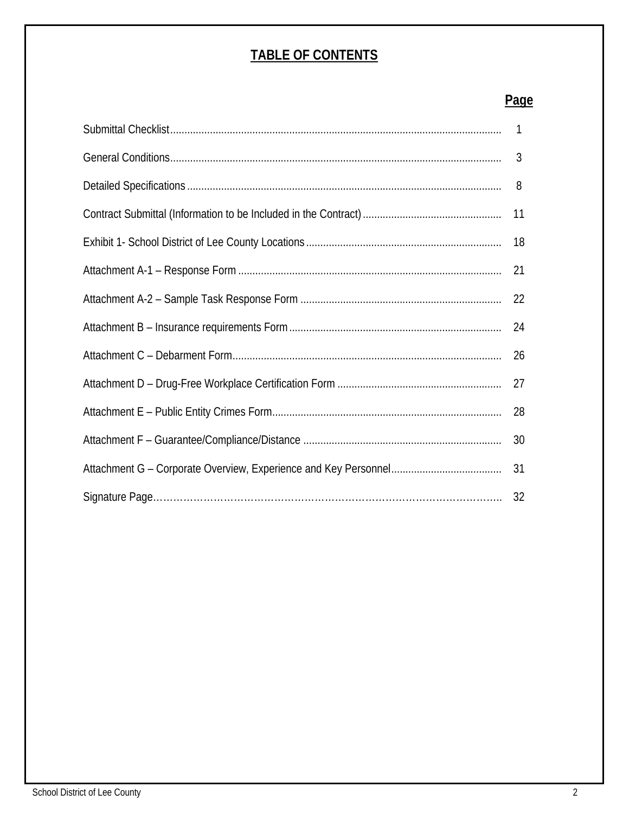# **TABLE OF CONTENTS**

# **Page**

|  | $\mathbf{1}$ |
|--|--------------|
|  | 3            |
|  | 8            |
|  | 11           |
|  | 18           |
|  | 21           |
|  | 22           |
|  | 24           |
|  | 26           |
|  | 27           |
|  | 28           |
|  | 30           |
|  | 31           |
|  | 32           |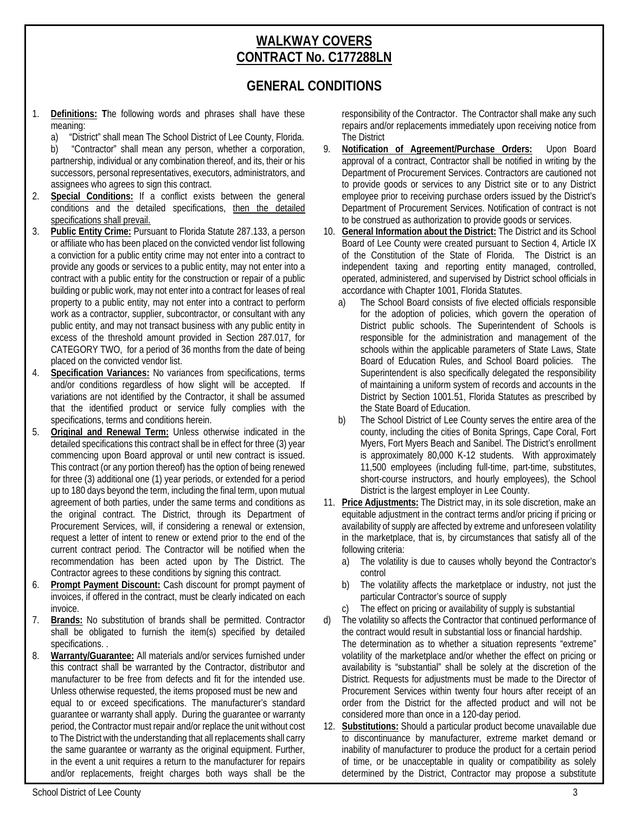# **WALKWAY COVERS CONTRACT No. C177288LN**

# **GENERAL CONDITIONS**

1. **Definitions: T**he following words and phrases shall have these meaning:

a) "District" shall mean The School District of Lee County, Florida.

b) "Contractor" shall mean any person, whether a corporation, partnership, individual or any combination thereof, and its, their or his successors, personal representatives, executors, administrators, and assignees who agrees to sign this contract.

- 2. **Special Conditions:** If a conflict exists between the general conditions and the detailed specifications, then the detailed specifications shall prevail.
- 3. **Public Entity Crime:** Pursuant to Florida Statute 287.133, a person or affiliate who has been placed on the convicted vendor list following a conviction for a public entity crime may not enter into a contract to provide any goods or services to a public entity, may not enter into a contract with a public entity for the construction or repair of a public building or public work, may not enter into a contract for leases of real property to a public entity, may not enter into a contract to perform work as a contractor, supplier, subcontractor, or consultant with any public entity, and may not transact business with any public entity in excess of the threshold amount provided in Section 287.017, for CATEGORY TWO, for a period of 36 months from the date of being placed on the convicted vendor list.
- 4. **Specification Variances:** No variances from specifications, terms and/or conditions regardless of how slight will be accepted. If variations are not identified by the Contractor, it shall be assumed that the identified product or service fully complies with the specifications, terms and conditions herein.
- 5. **Original and Renewal Term:** Unless otherwise indicated in the detailed specifications this contract shall be in effect for three (3) year commencing upon Board approval or until new contract is issued. This contract (or any portion thereof) has the option of being renewed for three (3) additional one (1) year periods, or extended for a period up to 180 days beyond the term, including the final term, upon mutual agreement of both parties, under the same terms and conditions as the original contract. The District, through its Department of Procurement Services, will, if considering a renewal or extension, request a letter of intent to renew or extend prior to the end of the current contract period. The Contractor will be notified when the recommendation has been acted upon by The District. The Contractor agrees to these conditions by signing this contract.
- 6. **Prompt Payment Discount:** Cash discount for prompt payment of invoices, if offered in the contract, must be clearly indicated on each invoice.
- 7. **Brands:** No substitution of brands shall be permitted. Contractor shall be obligated to furnish the item(s) specified by detailed specifications. .
- 8. **Warranty/Guarantee:** All materials and/or services furnished under this contract shall be warranted by the Contractor, distributor and manufacturer to be free from defects and fit for the intended use. Unless otherwise requested, the items proposed must be new and equal to or exceed specifications. The manufacturer's standard guarantee or warranty shall apply. During the guarantee or warranty period, the Contractor must repair and/or replace the unit without cost to The District with the understanding that all replacements shall carry the same guarantee or warranty as the original equipment. Further, in the event a unit requires a return to the manufacturer for repairs and/or replacements, freight charges both ways shall be the

responsibility of the Contractor. The Contractor shall make any such repairs and/or replacements immediately upon receiving notice from The District

- 9. **Notification of Agreement/Purchase Orders:** Upon Board approval of a contract, Contractor shall be notified in writing by the Department of Procurement Services. Contractors are cautioned not to provide goods or services to any District site or to any District employee prior to receiving purchase orders issued by the District's Department of Procurement Services. Notification of contract is not to be construed as authorization to provide goods or services.
- 10. **General Information about the District:** The District and its School Board of Lee County were created pursuant to Section 4, Article IX of the Constitution of the State of Florida. The District is an independent taxing and reporting entity managed, controlled, operated, administered, and supervised by District school officials in accordance with Chapter 1001, Florida Statutes.
	- a) The School Board consists of five elected officials responsible for the adoption of policies, which govern the operation of District public schools. The Superintendent of Schools is responsible for the administration and management of the schools within the applicable parameters of State Laws, State Board of Education Rules, and School Board policies. The Superintendent is also specifically delegated the responsibility of maintaining a uniform system of records and accounts in the District by Section 1001.51, Florida Statutes as prescribed by the State Board of Education.
	- b) The School District of Lee County serves the entire area of the county, including the cities of Bonita Springs, Cape Coral, Fort Myers, Fort Myers Beach and Sanibel. The District's enrollment is approximately 80,000 K-12 students. With approximately 11,500 employees (including full-time, part-time, substitutes, short-course instructors, and hourly employees), the School District is the largest employer in Lee County.
- 11. **Price Adjustments:** The District may, in its sole discretion, make an equitable adjustment in the contract terms and/or pricing if pricing or availability of supply are affected by extreme and unforeseen volatility in the marketplace, that is, by circumstances that satisfy all of the following criteria:
	- a) The volatility is due to causes wholly beyond the Contractor's control
	- b) The volatility affects the marketplace or industry, not just the particular Contractor's source of supply
	- c) The effect on pricing or availability of supply is substantial
- d) The volatility so affects the Contractor that continued performance of the contract would result in substantial loss or financial hardship. The determination as to whether a situation represents "extreme" volatility of the marketplace and/or whether the effect on pricing or availability is "substantial" shall be solely at the discretion of the District. Requests for adjustments must be made to the Director of Procurement Services within twenty four hours after receipt of an order from the District for the affected product and will not be considered more than once in a 120-day period.
- 12. **Substitutions:** Should a particular product become unavailable due to discontinuance by manufacturer, extreme market demand or inability of manufacturer to produce the product for a certain period of time, or be unacceptable in quality or compatibility as solely determined by the District, Contractor may propose a substitute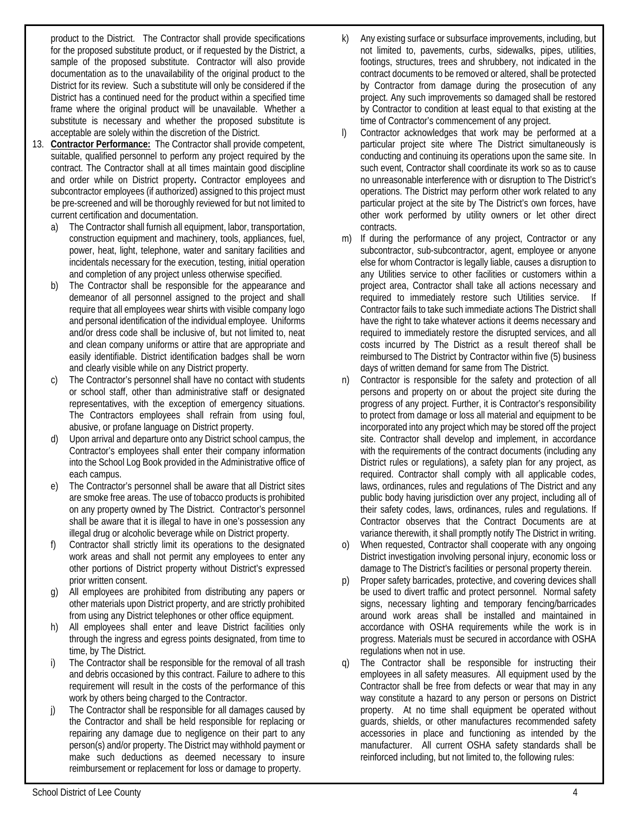product to the District. The Contractor shall provide specifications for the proposed substitute product, or if requested by the District, a sample of the proposed substitute. Contractor will also provide documentation as to the unavailability of the original product to the District for its review. Such a substitute will only be considered if the District has a continued need for the product within a specified time frame where the original product will be unavailable. Whether a substitute is necessary and whether the proposed substitute is acceptable are solely within the discretion of the District.

- 13. **Contractor Performance:** The Contractor shall provide competent, suitable, qualified personnel to perform any project required by the contract. The Contractor shall at all times maintain good discipline and order while on District property**.** Contractor employees and subcontractor employees (if authorized) assigned to this project must be pre-screened and will be thoroughly reviewed for but not limited to current certification and documentation.
	- a) The Contractor shall furnish all equipment, labor, transportation, construction equipment and machinery, tools, appliances, fuel, power, heat, light, telephone, water and sanitary facilities and incidentals necessary for the execution, testing, initial operation and completion of any project unless otherwise specified.
	- b) The Contractor shall be responsible for the appearance and demeanor of all personnel assigned to the project and shall require that all employees wear shirts with visible company logo and personal identification of the individual employee. Uniforms and/or dress code shall be inclusive of, but not limited to, neat and clean company uniforms or attire that are appropriate and easily identifiable. District identification badges shall be worn and clearly visible while on any District property.
	- c) The Contractor's personnel shall have no contact with students or school staff, other than administrative staff or designated representatives, with the exception of emergency situations. The Contractors employees shall refrain from using foul, abusive, or profane language on District property.
	- d) Upon arrival and departure onto any District school campus, the Contractor's employees shall enter their company information into the School Log Book provided in the Administrative office of each campus.
	- e) The Contractor's personnel shall be aware that all District sites are smoke free areas. The use of tobacco products is prohibited on any property owned by The District. Contractor's personnel shall be aware that it is illegal to have in one's possession any illegal drug or alcoholic beverage while on District property.
	- Contractor shall strictly limit its operations to the designated work areas and shall not permit any employees to enter any other portions of District property without District's expressed prior written consent.
	- All employees are prohibited from distributing any papers or other materials upon District property, and are strictly prohibited from using any District telephones or other office equipment.
	- h) All employees shall enter and leave District facilities only through the ingress and egress points designated, from time to time, by The District.
	- i) The Contractor shall be responsible for the removal of all trash and debris occasioned by this contract. Failure to adhere to this requirement will result in the costs of the performance of this work by others being charged to the Contractor.
	- j) The Contractor shall be responsible for all damages caused by the Contractor and shall be held responsible for replacing or repairing any damage due to negligence on their part to any person(s) and/or property. The District may withhold payment or make such deductions as deemed necessary to insure reimbursement or replacement for loss or damage to property.
- k) Any existing surface or subsurface improvements, including, but not limited to, pavements, curbs, sidewalks, pipes, utilities, footings, structures, trees and shrubbery, not indicated in the contract documents to be removed or altered, shall be protected by Contractor from damage during the prosecution of any project. Any such improvements so damaged shall be restored by Contractor to condition at least equal to that existing at the time of Contractor's commencement of any project.
- Contractor acknowledges that work may be performed at a particular project site where The District simultaneously is conducting and continuing its operations upon the same site. In such event, Contractor shall coordinate its work so as to cause no unreasonable interference with or disruption to The District's operations. The District may perform other work related to any particular project at the site by The District's own forces, have other work performed by utility owners or let other direct contracts.
- m) If during the performance of any project, Contractor or any subcontractor, sub-subcontractor, agent, employee or anyone else for whom Contractor is legally liable, causes a disruption to any Utilities service to other facilities or customers within a project area, Contractor shall take all actions necessary and required to immediately restore such Utilities service. If Contractor fails to take such immediate actions The District shall have the right to take whatever actions it deems necessary and required to immediately restore the disrupted services, and all costs incurred by The District as a result thereof shall be reimbursed to The District by Contractor within five (5) business days of written demand for same from The District.
- n) Contractor is responsible for the safety and protection of all persons and property on or about the project site during the progress of any project. Further, it is Contractor's responsibility to protect from damage or loss all material and equipment to be incorporated into any project which may be stored off the project site. Contractor shall develop and implement, in accordance with the requirements of the contract documents (including any District rules or regulations), a safety plan for any project, as required. Contractor shall comply with all applicable codes, laws, ordinances, rules and regulations of The District and any public body having jurisdiction over any project, including all of their safety codes, laws, ordinances, rules and regulations. If Contractor observes that the Contract Documents are at variance therewith, it shall promptly notify The District in writing.
- When requested, Contractor shall cooperate with any ongoing District investigation involving personal injury, economic loss or damage to The District's facilities or personal property therein.
- p) Proper safety barricades, protective, and covering devices shall be used to divert traffic and protect personnel. Normal safety signs, necessary lighting and temporary fencing/barricades around work areas shall be installed and maintained in accordance with OSHA requirements while the work is in progress. Materials must be secured in accordance with OSHA regulations when not in use.
- q) The Contractor shall be responsible for instructing their employees in all safety measures. All equipment used by the Contractor shall be free from defects or wear that may in any way constitute a hazard to any person or persons on District property. At no time shall equipment be operated without guards, shields, or other manufactures recommended safety accessories in place and functioning as intended by the manufacturer. All current OSHA safety standards shall be reinforced including, but not limited to, the following rules: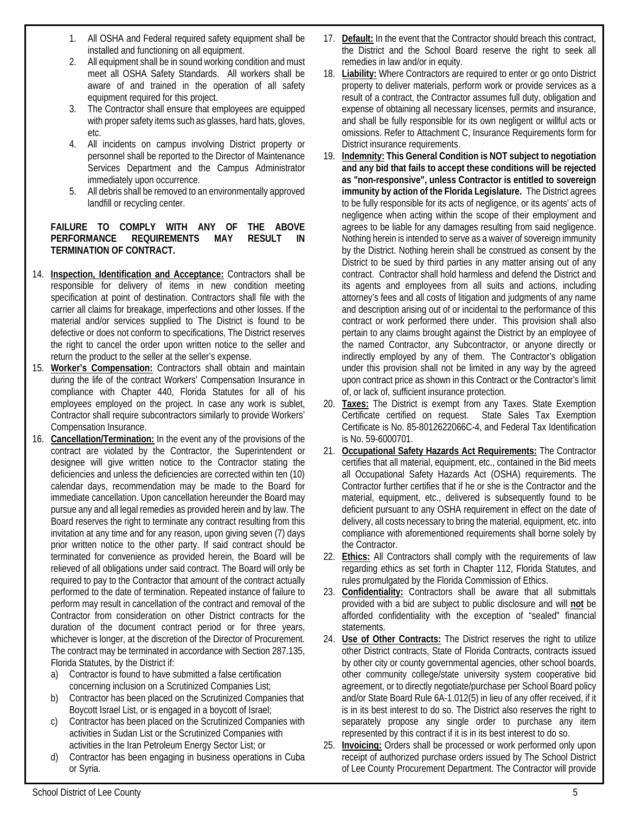- 1. All OSHA and Federal required safety equipment shall be installed and functioning on all equipment.
- 2. All equipment shall be in sound working condition and must meet all OSHA Safety Standards. All workers shall be aware of and trained in the operation of all safety equipment required for this project.
- 3. The Contractor shall ensure that employees are equipped with proper safety items such as glasses, hard hats, gloves, etc.
- 4. All incidents on campus involving District property or personnel shall be reported to the Director of Maintenance Services Department and the Campus Administrator immediately upon occurrence.
- 5. All debris shall be removed to an environmentally approved landfill or recycling center.

#### **FAILURE TO COMPLY WITH ANY OF THE ABOVE PERFORMANCE REQUIREMENTS MAY RESULT IN TERMINATION OF CONTRACT.**

- 14. **Inspection, Identification and Acceptance:** Contractors shall be responsible for delivery of items in new condition meeting specification at point of destination. Contractors shall file with the carrier all claims for breakage, imperfections and other losses. If the material and/or services supplied to The District is found to be defective or does not conform to specifications, The District reserves the right to cancel the order upon written notice to the seller and return the product to the seller at the seller's expense.
- 15. **Worker's Compensation:** Contractors shall obtain and maintain during the life of the contract Workers' Compensation Insurance in compliance with Chapter 440, Florida Statutes for all of his employees employed on the project. In case any work is sublet, Contractor shall require subcontractors similarly to provide Workers' Compensation Insurance.
- 16. **Cancellation/Termination:** In the event any of the provisions of the contract are violated by the Contractor, the Superintendent or designee will give written notice to the Contractor stating the deficiencies and unless the deficiencies are corrected within ten (10) calendar days, recommendation may be made to the Board for immediate cancellation. Upon cancellation hereunder the Board may pursue any and all legal remedies as provided herein and by law. The Board reserves the right to terminate any contract resulting from this invitation at any time and for any reason, upon giving seven (7) days prior written notice to the other party. If said contract should be terminated for convenience as provided herein, the Board will be relieved of all obligations under said contract. The Board will only be required to pay to the Contractor that amount of the contract actually performed to the date of termination. Repeated instance of failure to perform may result in cancellation of the contract and removal of the Contractor from consideration on other District contracts for the duration of the document contract period or for three years, whichever is longer, at the discretion of the Director of Procurement. The contract may be terminated in accordance with Section 287.135, Florida Statutes, by the District if:
	- a) Contractor is found to have submitted a false certification concerning inclusion on a Scrutinized Companies List;
	- b) Contractor has been placed on the Scrutinized Companies that Boycott Israel List, or is engaged in a boycott of Israel;
	- c) Contractor has been placed on the Scrutinized Companies with activities in Sudan List or the Scrutinized Companies with activities in the Iran Petroleum Energy Sector List; or
	- d) Contractor has been engaging in business operations in Cuba or Syria.
- 17. **Default:** In the event that the Contractor should breach this contract, the District and the School Board reserve the right to seek all remedies in law and/or in equity.
- 18. **Liability:** Where Contractors are required to enter or go onto District property to deliver materials, perform work or provide services as a result of a contract, the Contractor assumes full duty, obligation and expense of obtaining all necessary licenses, permits and insurance, and shall be fully responsible for its own negligent or willful acts or omissions. Refer to Attachment C, Insurance Requirements form for District insurance requirements.
- 19. **Indemnity: This General Condition is NOT subject to negotiation and any bid that fails to accept these conditions will be rejected as "non-responsive", unless Contractor is entitled to sovereign immunity by action of the Florida Legislature.** The District agrees to be fully responsible for its acts of negligence, or its agents' acts of negligence when acting within the scope of their employment and agrees to be liable for any damages resulting from said negligence. Nothing herein is intended to serve as a waiver of sovereign immunity by the District. Nothing herein shall be construed as consent by the District to be sued by third parties in any matter arising out of any contract. Contractor shall hold harmless and defend the District and its agents and employees from all suits and actions, including attorney's fees and all costs of litigation and judgments of any name and description arising out of or incidental to the performance of this contract or work performed there under. This provision shall also pertain to any claims brought against the District by an employee of the named Contractor, any Subcontractor, or anyone directly or indirectly employed by any of them. The Contractor's obligation under this provision shall not be limited in any way by the agreed upon contract price as shown in this Contract or the Contractor's limit of, or lack of, sufficient insurance protection.
- 20. **Taxes:** The District is exempt from any Taxes. State Exemption Certificate certified on request. State Sales Tax Exemption Certificate is No. 85-8012622066C-4, and Federal Tax Identification is No. 59-6000701.
- 21. **Occupational Safety Hazards Act Requirements:** The Contractor certifies that all material, equipment, etc., contained in the Bid meets all Occupational Safety Hazards Act (OSHA) requirements. The Contractor further certifies that if he or she is the Contractor and the material, equipment, etc., delivered is subsequently found to be deficient pursuant to any OSHA requirement in effect on the date of delivery, all costs necessary to bring the material, equipment, etc. into compliance with aforementioned requirements shall borne solely by the Contractor.
- 22. **Ethics:** All Contractors shall comply with the requirements of law regarding ethics as set forth in Chapter 112, Florida Statutes, and rules promulgated by the Florida Commission of Ethics.
- 23. **Confidentiality:** Contractors shall be aware that all submittals provided with a bid are subject to public disclosure and will **not** be afforded confidentiality with the exception of "sealed" financial statements.
- 24. **Use of Other Contracts:** The District reserves the right to utilize other District contracts, State of Florida Contracts, contracts issued by other city or county governmental agencies, other school boards, other community college/state university system cooperative bid agreement, or to directly negotiate/purchase per School Board policy and/or State Board Rule 6A-1.012(5) in lieu of any offer received, if it is in its best interest to do so. The District also reserves the right to separately propose any single order to purchase any item represented by this contract if it is in its best interest to do so.
- 25. **Invoicing:** Orders shall be processed or work performed only upon receipt of authorized purchase orders issued by The School District of Lee County Procurement Department. The Contractor will provide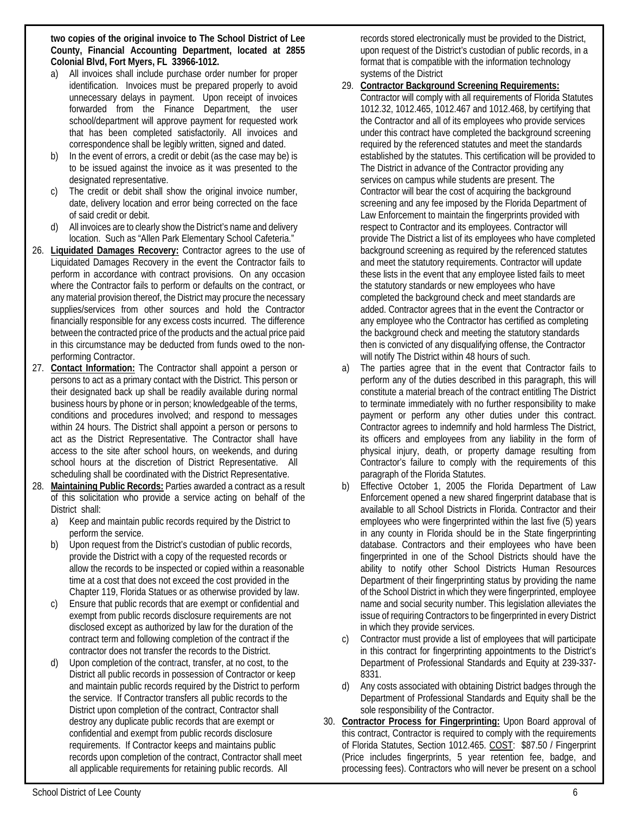**two copies of the original invoice to The School District of Lee County, Financial Accounting Department, located at 2855 Colonial Blvd, Fort Myers, FL 33966-1012.**

- a) All invoices shall include purchase order number for proper identification. Invoices must be prepared properly to avoid unnecessary delays in payment. Upon receipt of invoices forwarded from the Finance Department, the user school/department will approve payment for requested work that has been completed satisfactorily. All invoices and correspondence shall be legibly written, signed and dated.
- b) In the event of errors, a credit or debit (as the case may be) is to be issued against the invoice as it was presented to the designated representative.
- The credit or debit shall show the original invoice number, date, delivery location and error being corrected on the face of said credit or debit.
- d) All invoices are to clearly show the District's name and delivery location. Such as "Allen Park Elementary School Cafeteria."
- 26. **Liquidated Damages Recovery:** Contractor agrees to the use of Liquidated Damages Recovery in the event the Contractor fails to perform in accordance with contract provisions. On any occasion where the Contractor fails to perform or defaults on the contract, or any material provision thereof, the District may procure the necessary supplies/services from other sources and hold the Contractor financially responsible for any excess costs incurred. The difference between the contracted price of the products and the actual price paid in this circumstance may be deducted from funds owed to the nonperforming Contractor.
- 27. **Contact Information:** The Contractor shall appoint a person or persons to act as a primary contact with the District. This person or their designated back up shall be readily available during normal business hours by phone or in person; knowledgeable of the terms, conditions and procedures involved; and respond to messages within 24 hours. The District shall appoint a person or persons to act as the District Representative. The Contractor shall have access to the site after school hours, on weekends, and during school hours at the discretion of District Representative. All scheduling shall be coordinated with the District Representative.
- 28. **Maintaining Public Records:** Parties awarded a contract as a result of this solicitation who provide a service acting on behalf of the District shall:
	- a) Keep and maintain public records required by the District to perform the service.
	- b) Upon request from the District's custodian of public records, provide the District with a copy of the requested records or allow the records to be inspected or copied within a reasonable time at a cost that does not exceed the cost provided in the Chapter 119, Florida Statues or as otherwise provided by law.
	- Ensure that public records that are exempt or confidential and exempt from public records disclosure requirements are not disclosed except as authorized by law for the duration of the contract term and following completion of the contract if the contractor does not transfer the records to the District.
	- d) Upon completion of the contract, transfer, at no cost, to the District all public records in possession of Contractor or keep and maintain public records required by the District to perform the service. If Contractor transfers all public records to the District upon completion of the contract, Contractor shall destroy any duplicate public records that are exempt or confidential and exempt from public records disclosure requirements. If Contractor keeps and maintains public records upon completion of the contract, Contractor shall meet all applicable requirements for retaining public records. All

records stored electronically must be provided to the District, upon request of the District's custodian of public records, in a format that is compatible with the information technology systems of the District

- 29. **Contractor Background Screening Requirements:**  Contractor will comply with all requirements of Florida Statutes 1012.32, 1012.465, 1012.467 and 1012.468, by certifying that the Contractor and all of its employees who provide services under this contract have completed the background screening required by the referenced statutes and meet the standards established by the statutes. This certification will be provided to The District in advance of the Contractor providing any services on campus while students are present. The Contractor will bear the cost of acquiring the background screening and any fee imposed by the Florida Department of Law Enforcement to maintain the fingerprints provided with respect to Contractor and its employees. Contractor will provide The District a list of its employees who have completed background screening as required by the referenced statutes and meet the statutory requirements. Contractor will update these lists in the event that any employee listed fails to meet the statutory standards or new employees who have completed the background check and meet standards are added. Contractor agrees that in the event the Contractor or any employee who the Contractor has certified as completing the background check and meeting the statutory standards then is convicted of any disqualifying offense, the Contractor will notify The District within 48 hours of such.
- a) The parties agree that in the event that Contractor fails to perform any of the duties described in this paragraph, this will constitute a material breach of the contract entitling The District to terminate immediately with no further responsibility to make payment or perform any other duties under this contract. Contractor agrees to indemnify and hold harmless The District, its officers and employees from any liability in the form of physical injury, death, or property damage resulting from Contractor's failure to comply with the requirements of this paragraph of the Florida Statutes.
- b) Effective October 1, 2005 the Florida Department of Law Enforcement opened a new shared fingerprint database that is available to all School Districts in Florida. Contractor and their employees who were fingerprinted within the last five (5) years in any county in Florida should be in the State fingerprinting database. Contractors and their employees who have been fingerprinted in one of the School Districts should have the ability to notify other School Districts Human Resources Department of their fingerprinting status by providing the name of the School District in which they were fingerprinted, employee name and social security number. This legislation alleviates the issue of requiring Contractors to be fingerprinted in every District in which they provide services.
- c) Contractor must provide a list of employees that will participate in this contract for fingerprinting appointments to the District's Department of Professional Standards and Equity at 239-337- 8331.
- d) Any costs associated with obtaining District badges through the Department of Professional Standards and Equity shall be the sole responsibility of the Contractor.
- 30. **Contractor Process for Fingerprinting:** Upon Board approval of this contract, Contractor is required to comply with the requirements of Florida Statutes, Section 1012.465. COST: \$87.50 / Fingerprint (Price includes fingerprints, 5 year retention fee, badge, and processing fees). Contractors who will never be present on a school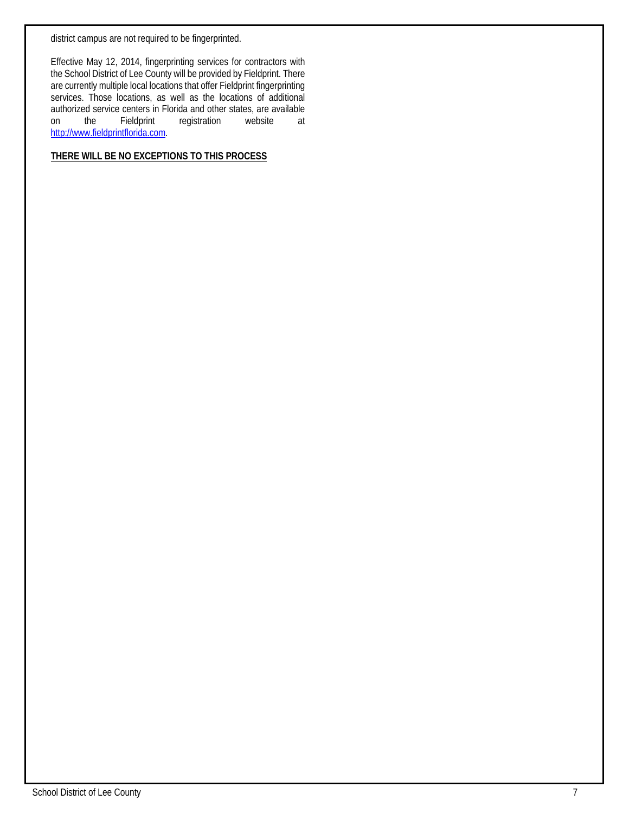district campus are not required to be fingerprinted.

Effective May 12, 2014, fingerprinting services for contractors with the School District of Lee County will be provided by Fieldprint. There are currently multiple local locations that offer Fieldprint fingerprinting services. Those locations, as well as the locations of additional authorized service centers in Florida and other states, are available<br>on the Fieldprint registration website at on the Fieldprint registration website at http://www.fieldprintflorida.com.

## **THERE WILL BE NO EXCEPTIONS TO THIS PROCESS**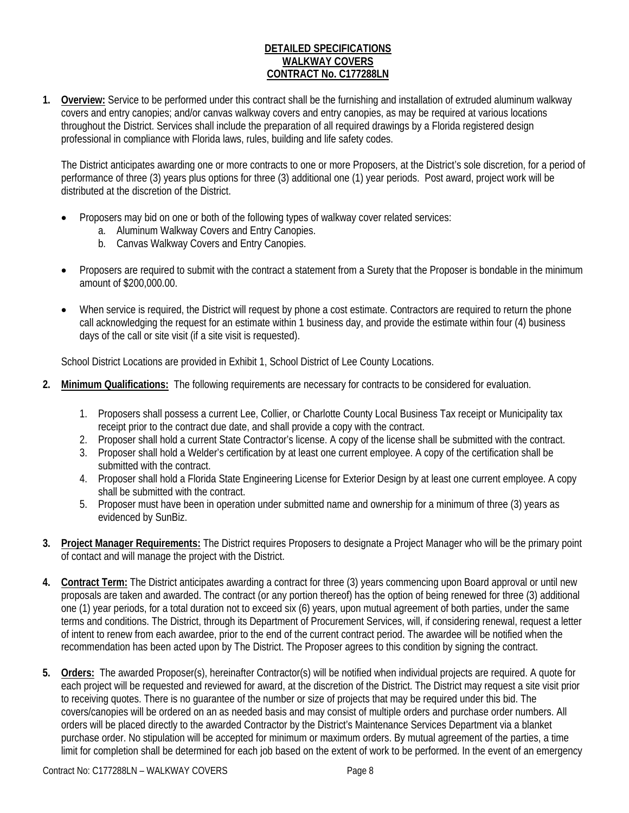#### **DETAILED SPECIFICATIONS WALKWAY COVERS CONTRACT No. C177288LN**

**1. Overview:** Service to be performed under this contract shall be the furnishing and installation of extruded aluminum walkway covers and entry canopies; and/or canvas walkway covers and entry canopies, as may be required at various locations throughout the District. Services shall include the preparation of all required drawings by a Florida registered design professional in compliance with Florida laws, rules, building and life safety codes.

The District anticipates awarding one or more contracts to one or more Proposers, at the District's sole discretion, for a period of performance of three (3) years plus options for three (3) additional one (1) year periods. Post award, project work will be distributed at the discretion of the District.

- Proposers may bid on one or both of the following types of walkway cover related services:
	- a. Aluminum Walkway Covers and Entry Canopies.
	- b. Canvas Walkway Covers and Entry Canopies.
- Proposers are required to submit with the contract a statement from a Surety that the Proposer is bondable in the minimum amount of \$200,000.00.
- When service is required, the District will request by phone a cost estimate. Contractors are required to return the phone call acknowledging the request for an estimate within 1 business day, and provide the estimate within four (4) business days of the call or site visit (if a site visit is requested).

School District Locations are provided in Exhibit 1, School District of Lee County Locations.

- **2. Minimum Qualifications:** The following requirements are necessary for contracts to be considered for evaluation.
	- 1. Proposers shall possess a current Lee, Collier, or Charlotte County Local Business Tax receipt or Municipality tax receipt prior to the contract due date, and shall provide a copy with the contract.
	- 2. Proposer shall hold a current State Contractor's license. A copy of the license shall be submitted with the contract.
	- 3. Proposer shall hold a Welder's certification by at least one current employee. A copy of the certification shall be submitted with the contract.
	- 4. Proposer shall hold a Florida State Engineering License for Exterior Design by at least one current employee. A copy shall be submitted with the contract.
	- 5. Proposer must have been in operation under submitted name and ownership for a minimum of three (3) years as evidenced by SunBiz.
- **3. Project Manager Requirements:** The District requires Proposers to designate a Project Manager who will be the primary point of contact and will manage the project with the District.
- **4. Contract Term:** The District anticipates awarding a contract for three (3) years commencing upon Board approval or until new proposals are taken and awarded. The contract (or any portion thereof) has the option of being renewed for three (3) additional one (1) year periods, for a total duration not to exceed six (6) years, upon mutual agreement of both parties, under the same terms and conditions. The District, through its Department of Procurement Services, will, if considering renewal, request a letter of intent to renew from each awardee, prior to the end of the current contract period. The awardee will be notified when the recommendation has been acted upon by The District. The Proposer agrees to this condition by signing the contract.
- **5. Orders:** The awarded Proposer(s), hereinafter Contractor(s) will be notified when individual projects are required. A quote for each project will be requested and reviewed for award, at the discretion of the District. The District may request a site visit prior to receiving quotes. There is no guarantee of the number or size of projects that may be required under this bid. The covers/canopies will be ordered on an as needed basis and may consist of multiple orders and purchase order numbers. All orders will be placed directly to the awarded Contractor by the District's Maintenance Services Department via a blanket purchase order. No stipulation will be accepted for minimum or maximum orders. By mutual agreement of the parties, a time limit for completion shall be determined for each job based on the extent of work to be performed. In the event of an emergency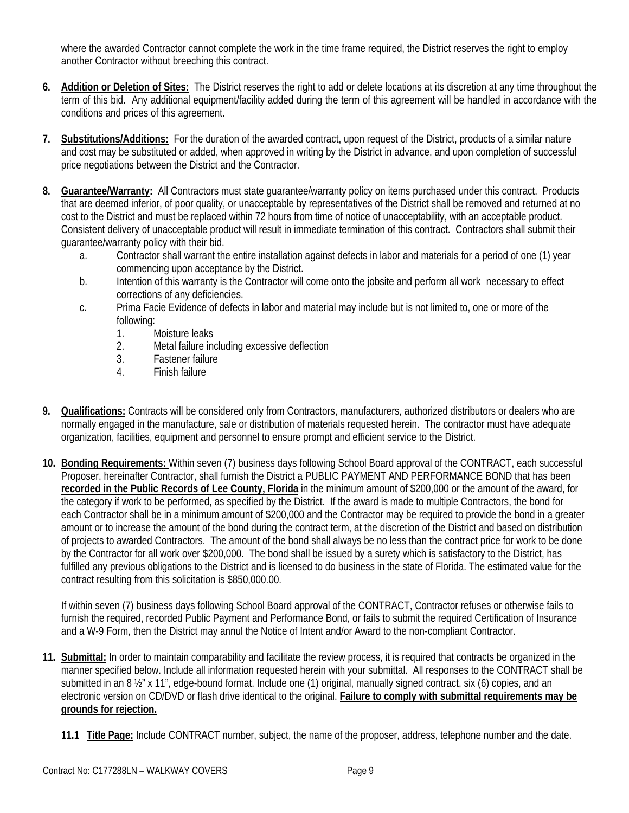where the awarded Contractor cannot complete the work in the time frame required, the District reserves the right to employ another Contractor without breeching this contract.

- **6. Addition or Deletion of Sites:** The District reserves the right to add or delete locations at its discretion at any time throughout the term of this bid. Any additional equipment/facility added during the term of this agreement will be handled in accordance with the conditions and prices of this agreement.
- **7. Substitutions/Additions:** For the duration of the awarded contract, upon request of the District, products of a similar nature and cost may be substituted or added, when approved in writing by the District in advance, and upon completion of successful price negotiations between the District and the Contractor.
- **8. Guarantee/Warranty:** All Contractors must state guarantee/warranty policy on items purchased under this contract. Products that are deemed inferior, of poor quality, or unacceptable by representatives of the District shall be removed and returned at no cost to the District and must be replaced within 72 hours from time of notice of unacceptability, with an acceptable product. Consistent delivery of unacceptable product will result in immediate termination of this contract. Contractors shall submit their guarantee/warranty policy with their bid.
	- a. Contractor shall warrant the entire installation against defects in labor and materials for a period of one (1) year commencing upon acceptance by the District.
	- b. Intention of this warranty is the Contractor will come onto the jobsite and perform all work necessary to effect corrections of any deficiencies.
	- c. Prima Facie Evidence of defects in labor and material may include but is not limited to, one or more of the following:
		- 1. Moisture leaks
		- 2. Metal failure including excessive deflection
		- 3. Fastener failure
		- 4. Finish failure
- **9. Qualifications:** Contracts will be considered only from Contractors, manufacturers, authorized distributors or dealers who are normally engaged in the manufacture, sale or distribution of materials requested herein. The contractor must have adequate organization, facilities, equipment and personnel to ensure prompt and efficient service to the District.
- **10. Bonding Requirements:** Within seven (7) business days following School Board approval of the CONTRACT, each successful Proposer, hereinafter Contractor, shall furnish the District a PUBLIC PAYMENT AND PERFORMANCE BOND that has been **recorded in the Public Records of Lee County, Florida** in the minimum amount of \$200,000 or the amount of the award, for the category if work to be performed, as specified by the District. If the award is made to multiple Contractors, the bond for each Contractor shall be in a minimum amount of \$200,000 and the Contractor may be required to provide the bond in a greater amount or to increase the amount of the bond during the contract term, at the discretion of the District and based on distribution of projects to awarded Contractors. The amount of the bond shall always be no less than the contract price for work to be done by the Contractor for all work over \$200,000. The bond shall be issued by a surety which is satisfactory to the District, has fulfilled any previous obligations to the District and is licensed to do business in the state of Florida. The estimated value for the contract resulting from this solicitation is \$850,000.00.

If within seven (7) business days following School Board approval of the CONTRACT, Contractor refuses or otherwise fails to furnish the required, recorded Public Payment and Performance Bond, or fails to submit the required Certification of Insurance and a W-9 Form, then the District may annul the Notice of Intent and/or Award to the non-compliant Contractor.

- **11. Submittal:** In order to maintain comparability and facilitate the review process, it is required that contracts be organized in the manner specified below. Include all information requested herein with your submittal. All responses to the CONTRACT shall be submitted in an 8  $\frac{1}{2}$ " x 11", edge-bound format. Include one (1) original, manually signed contract, six (6) copies, and an electronic version on CD/DVD or flash drive identical to the original. **Failure to comply with submittal requirements may be grounds for rejection.**
	- **11.1 Title Page:** Include CONTRACT number, subject, the name of the proposer, address, telephone number and the date.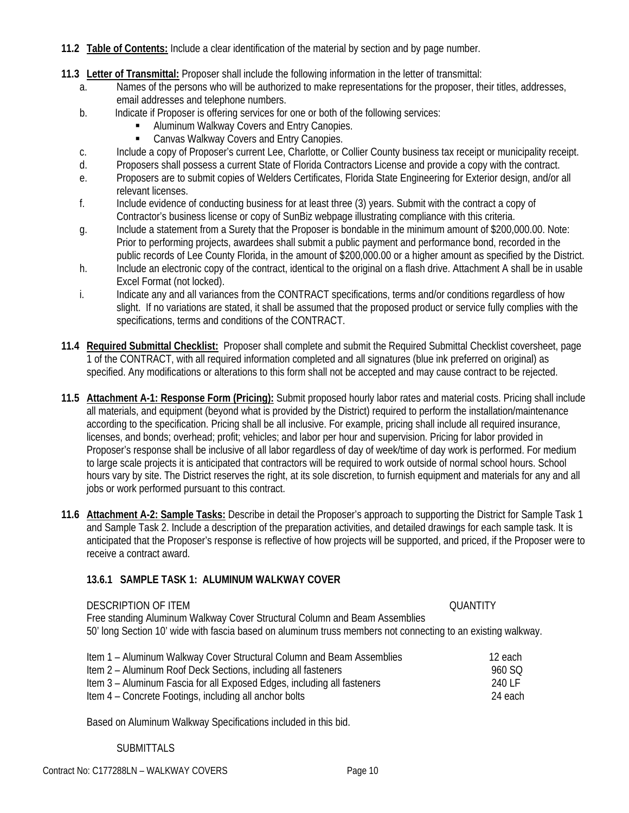- **11.2 Table of Contents:** Include a clear identification of the material by section and by page number.
- **11.3 Letter of Transmittal:** Proposer shall include the following information in the letter of transmittal:
	- a. Names of the persons who will be authorized to make representations for the proposer, their titles, addresses, email addresses and telephone numbers.
	- b. Indicate if Proposer is offering services for one or both of the following services:
		- Aluminum Walkway Covers and Entry Canopies.
		- **EXEC** Canvas Walkway Covers and Entry Canopies.
	- c. Include a copy of Proposer's current Lee, Charlotte, or Collier County business tax receipt or municipality receipt.
	- d. Proposers shall possess a current State of Florida Contractors License and provide a copy with the contract.
	- e. Proposers are to submit copies of Welders Certificates, Florida State Engineering for Exterior design, and/or all relevant licenses.
	- f. Include evidence of conducting business for at least three (3) years. Submit with the contract a copy of Contractor's business license or copy of SunBiz webpage illustrating compliance with this criteria.
	- g. Include a statement from a Surety that the Proposer is bondable in the minimum amount of \$200,000.00. Note: Prior to performing projects, awardees shall submit a public payment and performance bond, recorded in the public records of Lee County Florida, in the amount of \$200,000.00 or a higher amount as specified by the District.
	- h. Include an electronic copy of the contract, identical to the original on a flash drive. Attachment A shall be in usable Excel Format (not locked).
	- i. Indicate any and all variances from the CONTRACT specifications, terms and/or conditions regardless of how slight. If no variations are stated, it shall be assumed that the proposed product or service fully complies with the specifications, terms and conditions of the CONTRACT.
- **11.4 Required Submittal Checklist:** Proposer shall complete and submit the Required Submittal Checklist coversheet, page 1 of the CONTRACT, with all required information completed and all signatures (blue ink preferred on original) as specified. Any modifications or alterations to this form shall not be accepted and may cause contract to be rejected.
- **11.5 Attachment A-1: Response Form (Pricing):** Submit proposed hourly labor rates and material costs. Pricing shall include all materials, and equipment (beyond what is provided by the District) required to perform the installation/maintenance according to the specification. Pricing shall be all inclusive. For example, pricing shall include all required insurance, licenses, and bonds; overhead; profit; vehicles; and labor per hour and supervision. Pricing for labor provided in Proposer's response shall be inclusive of all labor regardless of day of week/time of day work is performed. For medium to large scale projects it is anticipated that contractors will be required to work outside of normal school hours. School hours vary by site. The District reserves the right, at its sole discretion, to furnish equipment and materials for any and all jobs or work performed pursuant to this contract.
- **11.6 Attachment A-2: Sample Tasks:** Describe in detail the Proposer's approach to supporting the District for Sample Task 1 and Sample Task 2. Include a description of the preparation activities, and detailed drawings for each sample task. It is anticipated that the Proposer's response is reflective of how projects will be supported, and priced, if the Proposer were to receive a contract award.

#### **13.6.1 SAMPLE TASK 1: ALUMINUM WALKWAY COVER**

DESCRIPTION OF ITEM **DESCRIPTION OF ITEM** Free standing Aluminum Walkway Cover Structural Column and Beam Assemblies 50' long Section 10' wide with fascia based on aluminum truss members not connecting to an existing walkway.

| Item 1 – Aluminum Walkway Cover Structural Column and Beam Assemblies   | 12 each |
|-------------------------------------------------------------------------|---------|
| Item 2 – Aluminum Roof Deck Sections, including all fasteners           | 960 SO  |
| Item 3 – Aluminum Fascia for all Exposed Edges, including all fasteners | 240 LF  |
| Item 4 – Concrete Footings, including all anchor bolts                  | 24 each |

Based on Aluminum Walkway Specifications included in this bid.

#### SUBMITTALS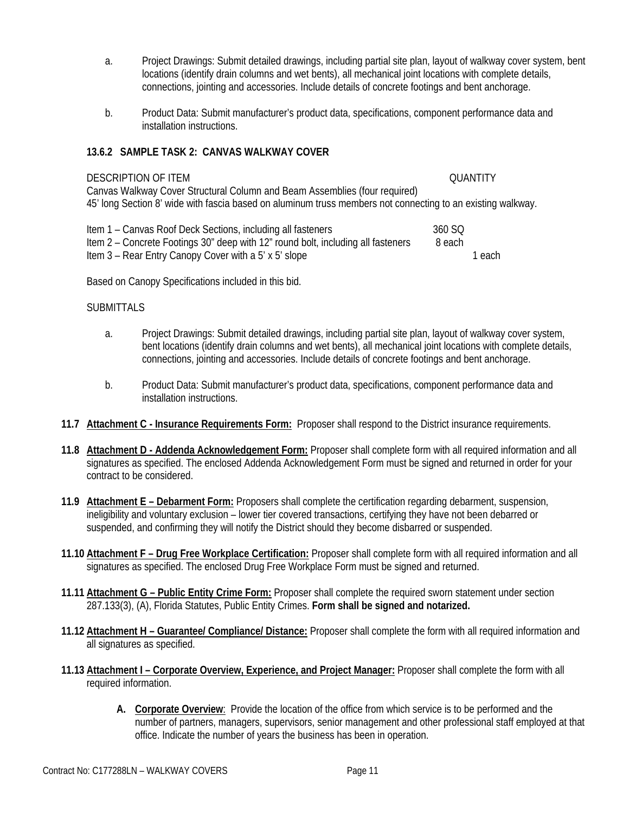- a. Project Drawings: Submit detailed drawings, including partial site plan, layout of walkway cover system, bent locations (identify drain columns and wet bents), all mechanical joint locations with complete details, connections, jointing and accessories. Include details of concrete footings and bent anchorage.
- b. Product Data: Submit manufacturer's product data, specifications, component performance data and installation instructions.

#### **13.6.2 SAMPLE TASK 2: CANVAS WALKWAY COVER**

#### DESCRIPTION OF ITEM QUANTITY

Canvas Walkway Cover Structural Column and Beam Assemblies (four required) 45' long Section 8' wide with fascia based on aluminum truss members not connecting to an existing walkway.

| Item 1 – Canvas Roof Deck Sections, including all fasteners                      | 360 SO |        |
|----------------------------------------------------------------------------------|--------|--------|
| Item 2 – Concrete Footings 30" deep with 12" round bolt, including all fasteners | 8 each |        |
| Item 3 – Rear Entry Canopy Cover with a 5' x 5' slope                            |        | 1 each |

Based on Canopy Specifications included in this bid.

#### SUBMITTALS

- a. Project Drawings: Submit detailed drawings, including partial site plan, layout of walkway cover system, bent locations (identify drain columns and wet bents), all mechanical joint locations with complete details, connections, jointing and accessories. Include details of concrete footings and bent anchorage.
- b. Product Data: Submit manufacturer's product data, specifications, component performance data and installation instructions.
- **11.7 Attachment C Insurance Requirements Form:** Proposer shall respond to the District insurance requirements.
- **11.8 Attachment D Addenda Acknowledgement Form:** Proposer shall complete form with all required information and all signatures as specified. The enclosed Addenda Acknowledgement Form must be signed and returned in order for your contract to be considered.
- **11.9 Attachment E Debarment Form:** Proposers shall complete the certification regarding debarment, suspension, ineligibility and voluntary exclusion – lower tier covered transactions, certifying they have not been debarred or suspended, and confirming they will notify the District should they become disbarred or suspended.
- **11.10 Attachment F Drug Free Workplace Certification:** Proposer shall complete form with all required information and all signatures as specified. The enclosed Drug Free Workplace Form must be signed and returned.
- **11.11 Attachment G Public Entity Crime Form:** Proposer shall complete the required sworn statement under section 287.133(3), (A), Florida Statutes, Public Entity Crimes. **Form shall be signed and notarized.**
- **11.12 Attachment H Guarantee/ Compliance/ Distance:** Proposer shall complete the form with all required information and all signatures as specified.
- **11.13 Attachment I Corporate Overview, Experience, and Project Manager:** Proposer shall complete the form with all required information.
	- **A. Corporate Overview**: Provide the location of the office from which service is to be performed and the number of partners, managers, supervisors, senior management and other professional staff employed at that office. Indicate the number of years the business has been in operation.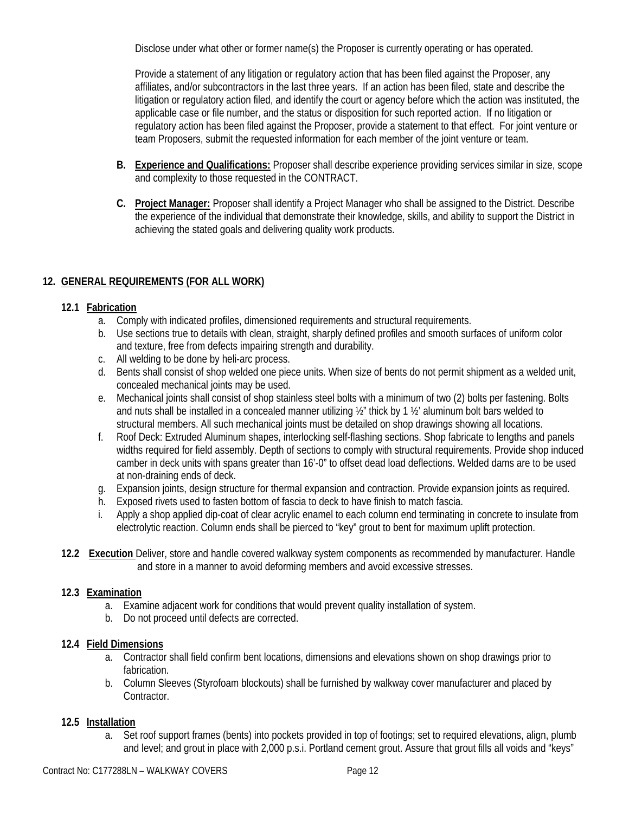Disclose under what other or former name(s) the Proposer is currently operating or has operated.

Provide a statement of any litigation or regulatory action that has been filed against the Proposer, any affiliates, and/or subcontractors in the last three years. If an action has been filed, state and describe the litigation or regulatory action filed, and identify the court or agency before which the action was instituted, the applicable case or file number, and the status or disposition for such reported action. If no litigation or regulatory action has been filed against the Proposer, provide a statement to that effect. For joint venture or team Proposers, submit the requested information for each member of the joint venture or team.

- **B. Experience and Qualifications:** Proposer shall describe experience providing services similar in size, scope and complexity to those requested in the CONTRACT.
- **C. Project Manager:** Proposer shall identify a Project Manager who shall be assigned to the District. Describe the experience of the individual that demonstrate their knowledge, skills, and ability to support the District in achieving the stated goals and delivering quality work products.

# **12. GENERAL REQUIREMENTS (FOR ALL WORK)**

## **12.1 Fabrication**

- a. Comply with indicated profiles, dimensioned requirements and structural requirements.
- b. Use sections true to details with clean, straight, sharply defined profiles and smooth surfaces of uniform color and texture, free from defects impairing strength and durability.
- c. All welding to be done by heli-arc process.
- d. Bents shall consist of shop welded one piece units. When size of bents do not permit shipment as a welded unit, concealed mechanical joints may be used.
- e. Mechanical joints shall consist of shop stainless steel bolts with a minimum of two (2) bolts per fastening. Bolts and nuts shall be installed in a concealed manner utilizing ½" thick by 1 ½' aluminum bolt bars welded to structural members. All such mechanical joints must be detailed on shop drawings showing all locations.
- f. Roof Deck: Extruded Aluminum shapes, interlocking self-flashing sections. Shop fabricate to lengths and panels widths required for field assembly. Depth of sections to comply with structural requirements. Provide shop induced camber in deck units with spans greater than 16'-0" to offset dead load deflections. Welded dams are to be used at non-draining ends of deck.
- g. Expansion joints, design structure for thermal expansion and contraction. Provide expansion joints as required.
- h. Exposed rivets used to fasten bottom of fascia to deck to have finish to match fascia.
- i. Apply a shop applied dip-coat of clear acrylic enamel to each column end terminating in concrete to insulate from electrolytic reaction. Column ends shall be pierced to "key" grout to bent for maximum uplift protection.
- **12.2 Execution** Deliver, store and handle covered walkway system components as recommended by manufacturer. Handle and store in a manner to avoid deforming members and avoid excessive stresses.

## **12.3 Examination**

- a. Examine adjacent work for conditions that would prevent quality installation of system.
- b. Do not proceed until defects are corrected.

## **12.4 Field Dimensions**

- a. Contractor shall field confirm bent locations, dimensions and elevations shown on shop drawings prior to fabrication.
- b. Column Sleeves (Styrofoam blockouts) shall be furnished by walkway cover manufacturer and placed by Contractor.

## **12.5 Installation**

a. Set roof support frames (bents) into pockets provided in top of footings; set to required elevations, align, plumb and level; and grout in place with 2,000 p.s.i. Portland cement grout. Assure that grout fills all voids and "keys"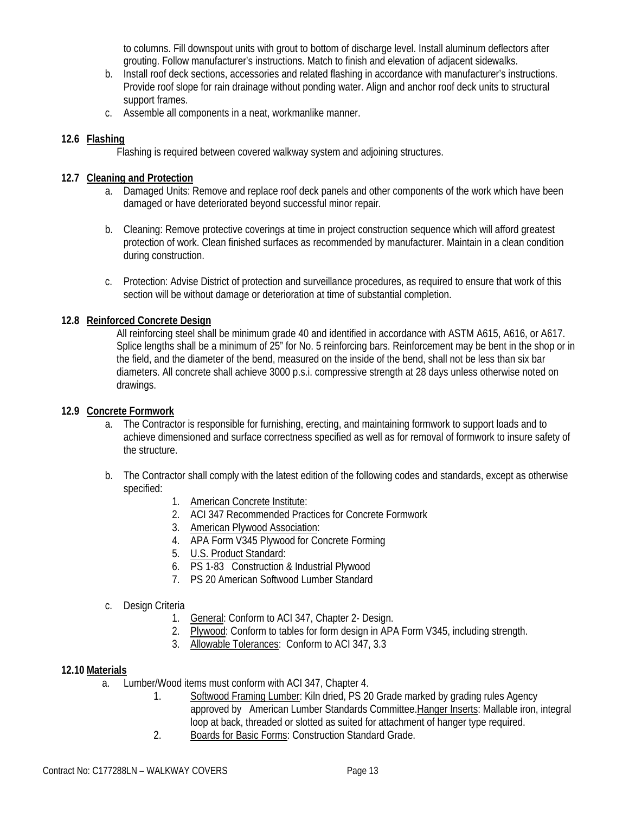to columns. Fill downspout units with grout to bottom of discharge level. Install aluminum deflectors after grouting. Follow manufacturer's instructions. Match to finish and elevation of adjacent sidewalks.

- b. Install roof deck sections, accessories and related flashing in accordance with manufacturer's instructions. Provide roof slope for rain drainage without ponding water. Align and anchor roof deck units to structural support frames.
- c. Assemble all components in a neat, workmanlike manner.

## **12.6 Flashing**

Flashing is required between covered walkway system and adjoining structures.

#### **12.7 Cleaning and Protection**

- a. Damaged Units: Remove and replace roof deck panels and other components of the work which have been damaged or have deteriorated beyond successful minor repair.
- b. Cleaning: Remove protective coverings at time in project construction sequence which will afford greatest protection of work. Clean finished surfaces as recommended by manufacturer. Maintain in a clean condition during construction.
- c. Protection: Advise District of protection and surveillance procedures, as required to ensure that work of this section will be without damage or deterioration at time of substantial completion.

## **12.8 Reinforced Concrete Design**

All reinforcing steel shall be minimum grade 40 and identified in accordance with ASTM A615, A616, or A617. Splice lengths shall be a minimum of 25" for No. 5 reinforcing bars. Reinforcement may be bent in the shop or in the field, and the diameter of the bend, measured on the inside of the bend, shall not be less than six bar diameters. All concrete shall achieve 3000 p.s.i. compressive strength at 28 days unless otherwise noted on drawings.

#### **12.9 Concrete Formwork**

- a. The Contractor is responsible for furnishing, erecting, and maintaining formwork to support loads and to achieve dimensioned and surface correctness specified as well as for removal of formwork to insure safety of the structure.
- b. The Contractor shall comply with the latest edition of the following codes and standards, except as otherwise specified:
	- 1. American Concrete Institute:
	- 2. ACI 347 Recommended Practices for Concrete Formwork
	- 3. American Plywood Association:
	- 4. APA Form V345 Plywood for Concrete Forming
	- 5. U.S. Product Standard:
	- 6. PS 1-83 Construction & Industrial Plywood
	- 7. PS 20 American Softwood Lumber Standard
- c. Design Criteria
	- 1. General: Conform to ACI 347, Chapter 2- Design.
	- 2. Plywood: Conform to tables for form design in APA Form V345, including strength.
	- 3. Allowable Tolerances: Conform to ACI 347, 3.3

#### **12.10 Materials**

- a. Lumber/Wood items must conform with ACI 347, Chapter 4.
	- 1. Softwood Framing Lumber: Kiln dried, PS 20 Grade marked by grading rules Agency approved by American Lumber Standards Committee.Hanger Inserts: Mallable iron, integral loop at back, threaded or slotted as suited for attachment of hanger type required.
	- 2. Boards for Basic Forms: Construction Standard Grade.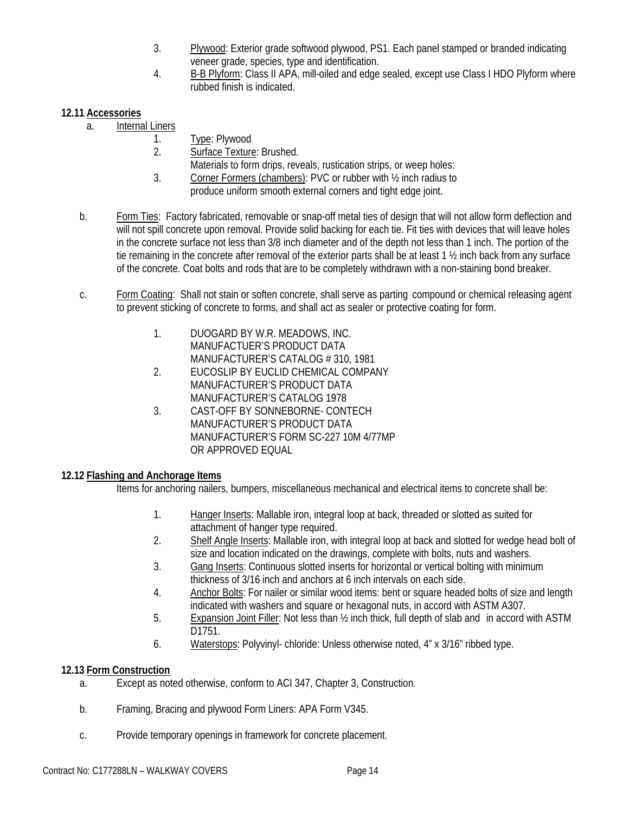- 3. Plywood: Exterior grade softwood plywood, PS1. Each panel stamped or branded indicating veneer grade, species, type and identification.
- 4. B-B Plyform: Class II APA, mill-oiled and edge sealed, except use Class I HDO Plyform where rubbed finish is indicated.

# **12.11 Accessories**

- a. Internal Liners
	- 1. Type: Plywood
	- 2. Surface Texture: Brushed.
		- Materials to form drips, reveals, rustication strips, or weep holes:
	- 3. Corner Formers (chambers): PVC or rubber with ½ inch radius to produce uniform smooth external corners and tight edge joint.
- b. Form Ties: Factory fabricated, removable or snap-off metal ties of design that will not allow form deflection and will not spill concrete upon removal. Provide solid backing for each tie. Fit ties with devices that will leave holes in the concrete surface not less than 3/8 inch diameter and of the depth not less than 1 inch. The portion of the tie remaining in the concrete after removal of the exterior parts shall be at least 1 ½ inch back from any surface of the concrete. Coat bolts and rods that are to be completely withdrawn with a non-staining bond breaker.
- c. Form Coating: Shall not stain or soften concrete, shall serve as parting compound or chemical releasing agent to prevent sticking of concrete to forms, and shall act as sealer or protective coating for form.
	- 1. DUOGARD BY W.R. MEADOWS, INC. MANUFACTUER'S PRODUCT DATA MANUFACTURER'S CATALOG # 310, 1981
	- 2. EUCOSLIP BY EUCLID CHEMICAL COMPANY MANUFACTURER'S PRODUCT DATA MANUFACTURER'S CATALOG 1978
	- 3. CAST-OFF BY SONNEBORNE- CONTECH MANUFACTURER'S PRODUCT DATA MANUFACTURER'S FORM SC-227 10M 4/77MP OR APPROVED EQUAL

## **12.12 Flashing and Anchorage Items**

Items for anchoring nailers, bumpers, miscellaneous mechanical and electrical items to concrete shall be:

- 1. Hanger Inserts: Mallable iron, integral loop at back, threaded or slotted as suited for attachment of hanger type required.
- 2. Shelf Angle Inserts: Mallable iron, with integral loop at back and slotted for wedge head bolt of size and location indicated on the drawings, complete with bolts, nuts and washers.
- 3. Gang Inserts: Continuous slotted inserts for horizontal or vertical bolting with minimum thickness of 3/16 inch and anchors at 6 inch intervals on each side.
- 4. Anchor Bolts: For nailer or similar wood items: bent or square headed bolts of size and length indicated with washers and square or hexagonal nuts, in accord with ASTM A307.
- 5. Expansion Joint Filler: Not less than ½ inch thick, full depth of slab and in accord with ASTM D1751.
- 6. Waterstops: Polyvinyl- chloride: Unless otherwise noted, 4" x 3/16" ribbed type.

# **12.13 Form Construction**

- a. Except as noted otherwise, conform to ACI 347, Chapter 3, Construction.
- b. Framing, Bracing and plywood Form Liners: APA Form V345.
- c. Provide temporary openings in framework for concrete placement.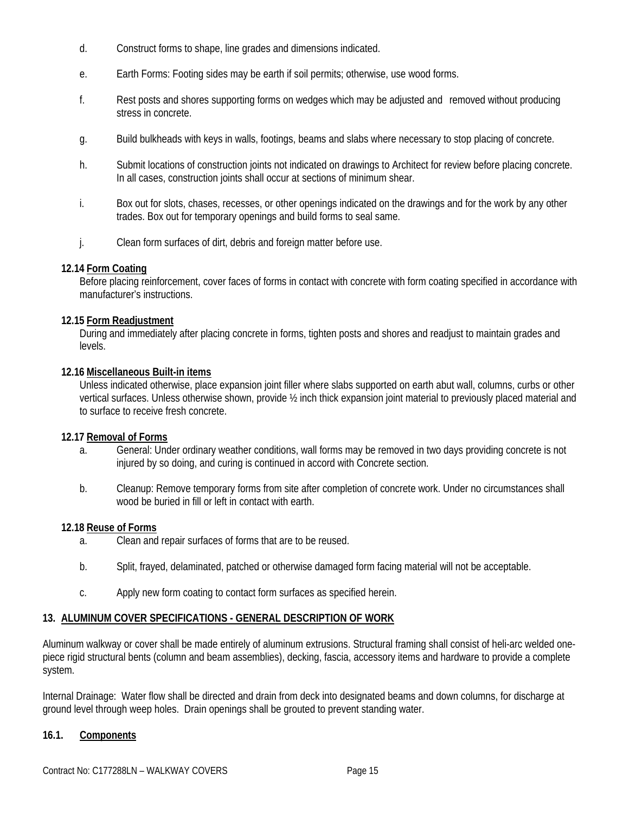- d. Construct forms to shape, line grades and dimensions indicated.
- e. Earth Forms: Footing sides may be earth if soil permits; otherwise, use wood forms.
- f. Rest posts and shores supporting forms on wedges which may be adjusted and removed without producing stress in concrete.
- g. Build bulkheads with keys in walls, footings, beams and slabs where necessary to stop placing of concrete.
- h. Submit locations of construction joints not indicated on drawings to Architect for review before placing concrete. In all cases, construction joints shall occur at sections of minimum shear.
- i. Box out for slots, chases, recesses, or other openings indicated on the drawings and for the work by any other trades. Box out for temporary openings and build forms to seal same.
- j. Clean form surfaces of dirt, debris and foreign matter before use.

#### **12.14 Form Coating**

Before placing reinforcement, cover faces of forms in contact with concrete with form coating specified in accordance with manufacturer's instructions.

#### **12.15 Form Readjustment**

During and immediately after placing concrete in forms, tighten posts and shores and readjust to maintain grades and levels.

#### **12.16 Miscellaneous Built-in items**

Unless indicated otherwise, place expansion joint filler where slabs supported on earth abut wall, columns, curbs or other vertical surfaces. Unless otherwise shown, provide ½ inch thick expansion joint material to previously placed material and to surface to receive fresh concrete.

#### **12.17 Removal of Forms**

- a. General: Under ordinary weather conditions, wall forms may be removed in two days providing concrete is not injured by so doing, and curing is continued in accord with Concrete section.
- b. Cleanup: Remove temporary forms from site after completion of concrete work. Under no circumstances shall wood be buried in fill or left in contact with earth.

#### **12.18 Reuse of Forms**

- a. Clean and repair surfaces of forms that are to be reused.
- b. Split, frayed, delaminated, patched or otherwise damaged form facing material will not be acceptable.
- c. Apply new form coating to contact form surfaces as specified herein.

#### **13. ALUMINUM COVER SPECIFICATIONS - GENERAL DESCRIPTION OF WORK**

Aluminum walkway or cover shall be made entirely of aluminum extrusions. Structural framing shall consist of heli-arc welded onepiece rigid structural bents (column and beam assemblies), decking, fascia, accessory items and hardware to provide a complete system.

Internal Drainage: Water flow shall be directed and drain from deck into designated beams and down columns, for discharge at ground level through weep holes. Drain openings shall be grouted to prevent standing water.

#### **16.1. Components**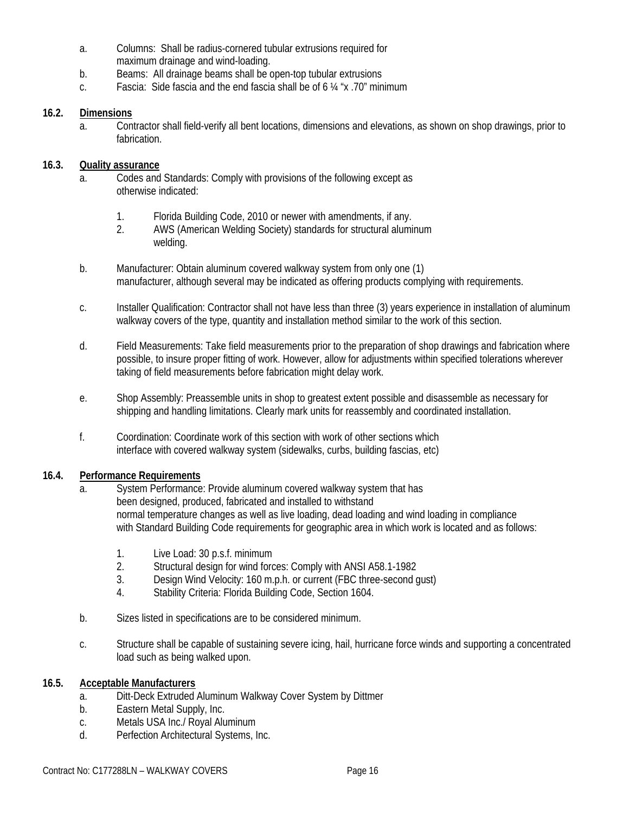- a. Columns: Shall be radius-cornered tubular extrusions required for maximum drainage and wind-loading.
- b. Beams: All drainage beams shall be open-top tubular extrusions
- c. Fascia: Side fascia and the end fascia shall be of 6 ¼ "x .70" minimum

# **16.2. Dimensions**

a. Contractor shall field-verify all bent locations, dimensions and elevations, as shown on shop drawings, prior to fabrication.

# **16.3. Quality assurance**

- a. Codes and Standards: Comply with provisions of the following except as otherwise indicated:
	- 1. Florida Building Code, 2010 or newer with amendments, if any.
	- 2. AWS (American Welding Society) standards for structural aluminum welding.
- b. Manufacturer: Obtain aluminum covered walkway system from only one (1) manufacturer, although several may be indicated as offering products complying with requirements.
- c. Installer Qualification: Contractor shall not have less than three (3) years experience in installation of aluminum walkway covers of the type, quantity and installation method similar to the work of this section.
- d. Field Measurements: Take field measurements prior to the preparation of shop drawings and fabrication where possible, to insure proper fitting of work. However, allow for adjustments within specified tolerations wherever taking of field measurements before fabrication might delay work.
- e. Shop Assembly: Preassemble units in shop to greatest extent possible and disassemble as necessary for shipping and handling limitations. Clearly mark units for reassembly and coordinated installation.
- f. Coordination: Coordinate work of this section with work of other sections which interface with covered walkway system (sidewalks, curbs, building fascias, etc)

## **16.4. Performance Requirements**

- a. System Performance: Provide aluminum covered walkway system that has been designed, produced, fabricated and installed to withstand normal temperature changes as well as live loading, dead loading and wind loading in compliance with Standard Building Code requirements for geographic area in which work is located and as follows:
	- 1. Live Load: 30 p.s.f. minimum
	- 2. Structural design for wind forces: Comply with ANSI A58.1-1982
	- 3. Design Wind Velocity: 160 m.p.h. or current (FBC three-second gust)
	- 4. Stability Criteria: Florida Building Code, Section 1604.
- b. Sizes listed in specifications are to be considered minimum.
- c. Structure shall be capable of sustaining severe icing, hail, hurricane force winds and supporting a concentrated load such as being walked upon.

## **16.5. Acceptable Manufacturers**

- a. Ditt-Deck Extruded Aluminum Walkway Cover System by Dittmer
- b. Eastern Metal Supply, Inc.
- c. Metals USA Inc./ Royal Aluminum
- d. Perfection Architectural Systems, Inc.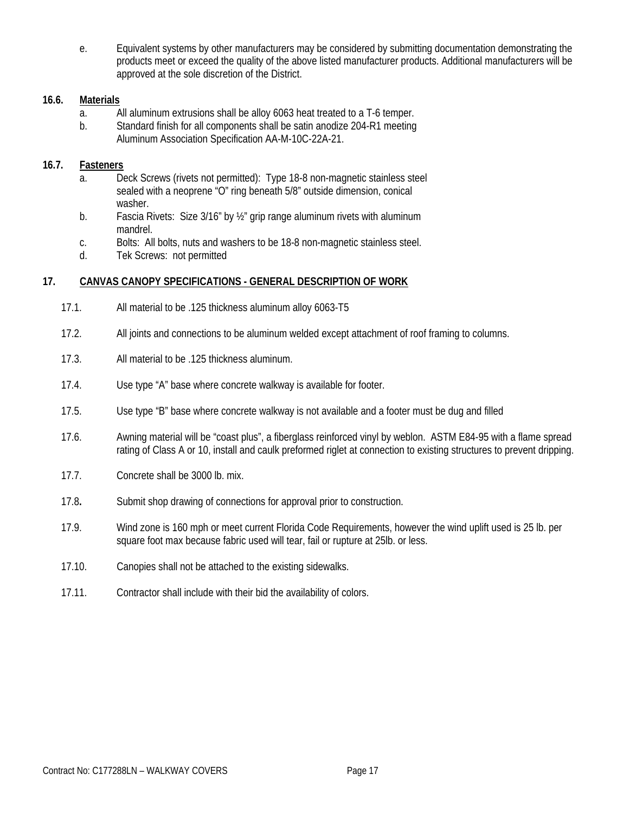e. Equivalent systems by other manufacturers may be considered by submitting documentation demonstrating the products meet or exceed the quality of the above listed manufacturer products. Additional manufacturers will be approved at the sole discretion of the District.

## **16.6. Materials**

- a. All aluminum extrusions shall be alloy 6063 heat treated to a T-6 temper.
- b. Standard finish for all components shall be satin anodize 204-R1 meeting Aluminum Association Specification AA-M-10C-22A-21.

#### **16.7. Fasteners**

- a. Deck Screws (rivets not permitted): Type 18-8 non-magnetic stainless steel sealed with a neoprene "O" ring beneath 5/8" outside dimension, conical washer.
- b. Fascia Rivets: Size 3/16" by 1/2" grip range aluminum rivets with aluminum mandrel.
- c. Bolts: All bolts, nuts and washers to be 18-8 non-magnetic stainless steel.
- d. Tek Screws: not permitted

#### **17. CANVAS CANOPY SPECIFICATIONS - GENERAL DESCRIPTION OF WORK**

- 17.1. All material to be .125 thickness aluminum alloy 6063-T5
- 17.2. All joints and connections to be aluminum welded except attachment of roof framing to columns.
- 17.3. All material to be .125 thickness aluminum.
- 17.4. Use type "A" base where concrete walkway is available for footer.
- 17.5. Use type "B" base where concrete walkway is not available and a footer must be dug and filled
- 17.6. Awning material will be "coast plus", a fiberglass reinforced vinyl by weblon. ASTM E84-95 with a flame spread rating of Class A or 10, install and caulk preformed riglet at connection to existing structures to prevent dripping.
- 17.7. Concrete shall be 3000 lb. mix.
- 17.8**.** Submit shop drawing of connections for approval prior to construction.
- 17.9. Wind zone is 160 mph or meet current Florida Code Requirements, however the wind uplift used is 25 lb. per square foot max because fabric used will tear, fail or rupture at 25lb. or less.
- 17.10. Canopies shall not be attached to the existing sidewalks.
- 17.11. Contractor shall include with their bid the availability of colors.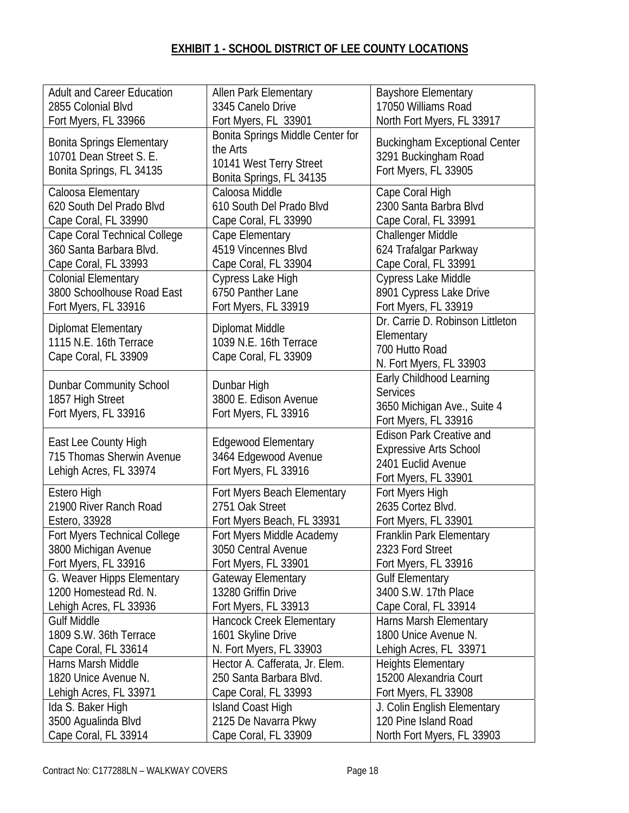# **EXHIBIT 1 - SCHOOL DISTRICT OF LEE COUNTY LOCATIONS**

| <b>Adult and Career Education</b>   | <b>Allen Park Elementary</b>     | <b>Bayshore Elementary</b>           |
|-------------------------------------|----------------------------------|--------------------------------------|
| 2855 Colonial Blvd                  | 3345 Canelo Drive                | 17050 Williams Road                  |
| Fort Myers, FL 33966                | Fort Myers, FL 33901             | North Fort Myers, FL 33917           |
|                                     | Bonita Springs Middle Center for |                                      |
| <b>Bonita Springs Elementary</b>    | the Arts                         | <b>Buckingham Exceptional Center</b> |
| 10701 Dean Street S. E.             | 10141 West Terry Street          | 3291 Buckingham Road                 |
| Bonita Springs, FL 34135            | Bonita Springs, FL 34135         | Fort Myers, FL 33905                 |
| Caloosa Elementary                  | Caloosa Middle                   | Cape Coral High                      |
| 620 South Del Prado Blvd            |                                  | 2300 Santa Barbra Blvd               |
|                                     | 610 South Del Prado Blvd         |                                      |
| Cape Coral, FL 33990                | Cape Coral, FL 33990             | Cape Coral, FL 33991                 |
| Cape Coral Technical College        | Cape Elementary                  | Challenger Middle                    |
| 360 Santa Barbara Blvd.             | 4519 Vincennes Blvd              | 624 Trafalgar Parkway                |
| Cape Coral, FL 33993                | Cape Coral, FL 33904             | Cape Coral, FL 33991                 |
| <b>Colonial Elementary</b>          | Cypress Lake High                | Cypress Lake Middle                  |
| 3800 Schoolhouse Road East          | 6750 Panther Lane                | 8901 Cypress Lake Drive              |
| Fort Myers, FL 33916                | Fort Myers, FL 33919             | Fort Myers, FL 33919                 |
|                                     |                                  | Dr. Carrie D. Robinson Littleton     |
| <b>Diplomat Elementary</b>          | Diplomat Middle                  | Elementary                           |
| 1115 N.E. 16th Terrace              | 1039 N.E. 16th Terrace           | 700 Hutto Road                       |
| Cape Coral, FL 33909                | Cape Coral, FL 33909             | N. Fort Myers, FL 33903              |
|                                     |                                  |                                      |
| <b>Dunbar Community School</b>      | Dunbar High                      | Early Childhood Learning             |
| 1857 High Street                    | 3800 E. Edison Avenue            | <b>Services</b>                      |
| Fort Myers, FL 33916                | Fort Myers, FL 33916             | 3650 Michigan Ave., Suite 4          |
|                                     |                                  | Fort Myers, FL 33916                 |
| East Lee County High                | <b>Edgewood Elementary</b>       | <b>Edison Park Creative and</b>      |
| 715 Thomas Sherwin Avenue           | 3464 Edgewood Avenue             | <b>Expressive Arts School</b>        |
|                                     | Fort Myers, FL 33916             | 2401 Euclid Avenue                   |
| Lehigh Acres, FL 33974              |                                  | Fort Myers, FL 33901                 |
| Estero High                         | Fort Myers Beach Elementary      | Fort Myers High                      |
| 21900 River Ranch Road              | 2751 Oak Street                  | 2635 Cortez Blvd.                    |
| Estero, 33928                       | Fort Myers Beach, FL 33931       | Fort Myers, FL 33901                 |
| <b>Fort Myers Technical College</b> | Fort Myers Middle Academy        | <b>Franklin Park Elementary</b>      |
| 3800 Michigan Avenue                | 3050 Central Avenue              | 2323 Ford Street                     |
| Fort Myers, FL 33916                | Fort Myers, FL 33901             | Fort Myers, FL 33916                 |
| G. Weaver Hipps Elementary          |                                  | <b>Gulf Elementary</b>               |
|                                     | <b>Gateway Elementary</b>        |                                      |
| 1200 Homestead Rd. N.               | 13280 Griffin Drive              | 3400 S.W. 17th Place                 |
| Lehigh Acres, FL 33936              | Fort Myers, FL 33913             | Cape Coral, FL 33914                 |
| <b>Gulf Middle</b>                  | Hancock Creek Elementary         | Harns Marsh Elementary               |
| 1809 S.W. 36th Terrace              | 1601 Skyline Drive               | 1800 Unice Avenue N.                 |
| Cape Coral, FL 33614                | N. Fort Myers, FL 33903          | Lehigh Acres, FL 33971               |
| Harns Marsh Middle                  | Hector A. Cafferata, Jr. Elem.   | <b>Heights Elementary</b>            |
| 1820 Unice Avenue N.                | 250 Santa Barbara Blvd.          | 15200 Alexandria Court               |
| Lehigh Acres, FL 33971              | Cape Coral, FL 33993             | Fort Myers, FL 33908                 |
| Ida S. Baker High                   | Island Coast High                | J. Colin English Elementary          |
| 3500 Agualinda Blvd                 | 2125 De Navarra Pkwy             | 120 Pine Island Road                 |
| Cape Coral, FL 33914                | Cape Coral, FL 33909             | North Fort Myers, FL 33903           |
|                                     |                                  |                                      |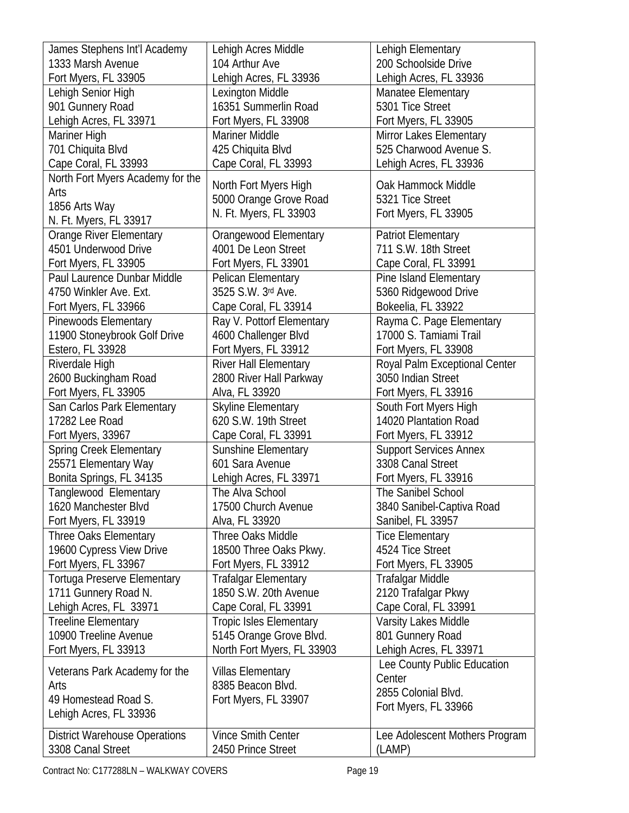| James Stephens Int'l Academy         | Lehigh Acres Middle                              | Lehigh Elementary                        |
|--------------------------------------|--------------------------------------------------|------------------------------------------|
| 1333 Marsh Avenue                    | 104 Arthur Ave                                   | 200 Schoolside Drive                     |
| Fort Myers, FL 33905                 | Lehigh Acres, FL 33936                           | Lehigh Acres, FL 33936                   |
| Lehigh Senior High                   | Lexington Middle                                 | Manatee Elementary                       |
| 901 Gunnery Road                     | 16351 Summerlin Road                             | 5301 Tice Street                         |
| Lehigh Acres, FL 33971               | Fort Myers, FL 33908                             | Fort Myers, FL 33905                     |
| Mariner High                         | <b>Mariner Middle</b>                            | Mirror Lakes Elementary                  |
| 701 Chiquita Blvd                    | 425 Chiquita Blvd                                | 525 Charwood Avenue S.                   |
| Cape Coral, FL 33993                 | Cape Coral, FL 33993                             | Lehigh Acres, FL 33936                   |
| North Fort Myers Academy for the     |                                                  |                                          |
| Arts                                 | North Fort Myers High                            | Oak Hammock Middle                       |
| 1856 Arts Way                        | 5000 Orange Grove Road<br>N. Ft. Myers, FL 33903 | 5321 Tice Street<br>Fort Myers, FL 33905 |
| N. Ft. Myers, FL 33917               |                                                  |                                          |
| Orange River Elementary              | Orangewood Elementary                            | <b>Patriot Elementary</b>                |
| 4501 Underwood Drive                 | 4001 De Leon Street                              | 711 S.W. 18th Street                     |
| Fort Myers, FL 33905                 | Fort Myers, FL 33901                             | Cape Coral, FL 33991                     |
| Paul Laurence Dunbar Middle          | Pelican Elementary                               | Pine Island Elementary                   |
| 4750 Winkler Ave. Ext.               | 3525 S.W. 3rd Ave.                               | 5360 Ridgewood Drive                     |
| Fort Myers, FL 33966                 | Cape Coral, FL 33914                             | Bokeelia, FL 33922                       |
| Pinewoods Elementary                 | Ray V. Pottorf Elementary                        | Rayma C. Page Elementary                 |
| 11900 Stoneybrook Golf Drive         | 4600 Challenger Blvd                             | 17000 S. Tamiami Trail                   |
| Estero, FL 33928                     | Fort Myers, FL 33912                             | Fort Myers, FL 33908                     |
| Riverdale High                       | River Hall Elementary                            | Royal Palm Exceptional Center            |
| 2600 Buckingham Road                 | 2800 River Hall Parkway                          | 3050 Indian Street                       |
| Fort Myers, FL 33905                 | Alva, FL 33920                                   | Fort Myers, FL 33916                     |
| San Carlos Park Elementary           | <b>Skyline Elementary</b>                        | South Fort Myers High                    |
| 17282 Lee Road                       | 620 S.W. 19th Street                             | 14020 Plantation Road                    |
| Fort Myers, 33967                    | Cape Coral, FL 33991                             | Fort Myers, FL 33912                     |
| <b>Spring Creek Elementary</b>       | Sunshine Elementary                              | <b>Support Services Annex</b>            |
| 25571 Elementary Way                 | 601 Sara Avenue                                  | 3308 Canal Street                        |
| Bonita Springs, FL 34135             | Lehigh Acres, FL 33971                           | Fort Myers, FL 33916                     |
| Tanglewood Elementary                | The Alva School                                  | The Sanibel School                       |
| 1620 Manchester Blvd                 | 17500 Church Avenue                              | 3840 Sanibel-Captiva Road                |
| Fort Myers, FL 33919                 | Alva, FL 33920                                   | Sanibel, FL 33957                        |
| <b>Three Oaks Elementary</b>         | Three Oaks Middle                                | <b>Tice Elementary</b>                   |
| 19600 Cypress View Drive             | 18500 Three Oaks Pkwy.                           | 4524 Tice Street                         |
| Fort Myers, FL 33967                 | Fort Myers, FL 33912                             | Fort Myers, FL 33905                     |
| Tortuga Preserve Elementary          | <b>Trafalgar Elementary</b>                      | Trafalgar Middle                         |
| 1711 Gunnery Road N.                 | 1850 S.W. 20th Avenue                            | 2120 Trafalgar Pkwy                      |
| Lehigh Acres, FL 33971               | Cape Coral, FL 33991                             | Cape Coral, FL 33991                     |
| <b>Treeline Elementary</b>           | <b>Tropic Isles Elementary</b>                   | Varsity Lakes Middle                     |
| 10900 Treeline Avenue                | 5145 Orange Grove Blvd.                          | 801 Gunnery Road                         |
| Fort Myers, FL 33913                 | North Fort Myers, FL 33903                       | Lehigh Acres, FL 33971                   |
|                                      |                                                  | Lee County Public Education              |
| Veterans Park Academy for the        | <b>Villas Elementary</b><br>8385 Beacon Blvd.    | Center                                   |
| Arts                                 |                                                  | 2855 Colonial Blvd.                      |
| 49 Homestead Road S.                 | Fort Myers, FL 33907                             | Fort Myers, FL 33966                     |
| Lehigh Acres, FL 33936               |                                                  |                                          |
| <b>District Warehouse Operations</b> | <b>Vince Smith Center</b>                        | Lee Adolescent Mothers Program           |
| 3308 Canal Street                    | 2450 Prince Street                               | (LAMP)                                   |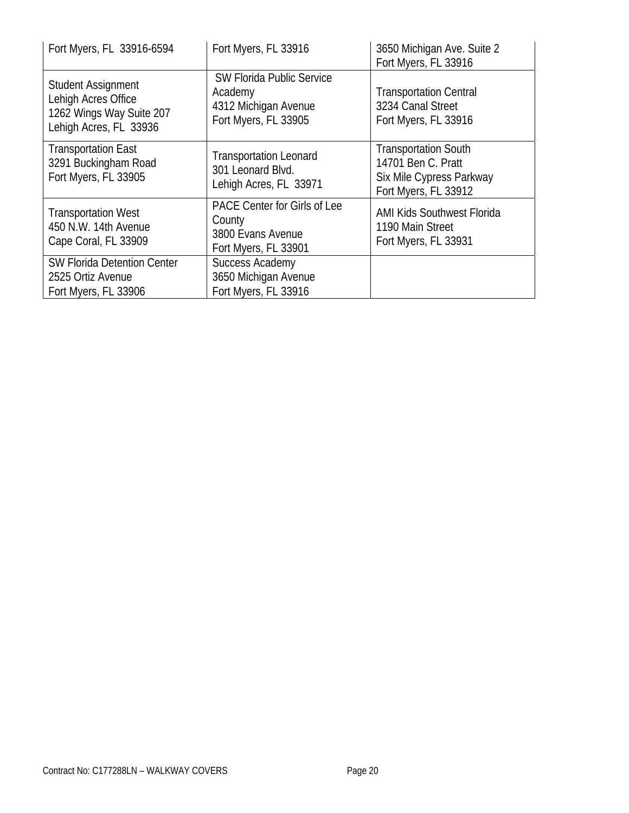| Fort Myers, FL 33916-6594                                                                              | Fort Myers, FL 33916                                                                        | 3650 Michigan Ave. Suite 2<br>Fort Myers, FL 33916                                                    |
|--------------------------------------------------------------------------------------------------------|---------------------------------------------------------------------------------------------|-------------------------------------------------------------------------------------------------------|
| <b>Student Assignment</b><br>Lehigh Acres Office<br>1262 Wings Way Suite 207<br>Lehigh Acres, FL 33936 | <b>SW Florida Public Service</b><br>Academy<br>4312 Michigan Avenue<br>Fort Myers, FL 33905 | <b>Transportation Central</b><br>3234 Canal Street<br>Fort Myers, FL 33916                            |
| <b>Transportation East</b><br>3291 Buckingham Road<br>Fort Myers, FL 33905                             | <b>Transportation Leonard</b><br>301 Leonard Blvd.<br>Lehigh Acres, FL 33971                | <b>Transportation South</b><br>14701 Ben C. Pratt<br>Six Mile Cypress Parkway<br>Fort Myers, FL 33912 |
| <b>Transportation West</b><br>450 N.W. 14th Avenue<br>Cape Coral, FL 33909                             | <b>PACE Center for Girls of Lee</b><br>County<br>3800 Evans Avenue<br>Fort Myers, FL 33901  | <b>AMI Kids Southwest Florida</b><br>1190 Main Street<br>Fort Myers, FL 33931                         |
| <b>SW Florida Detention Center</b><br>2525 Ortiz Avenue<br>Fort Myers, FL 33906                        | Success Academy<br>3650 Michigan Avenue<br>Fort Myers, FL 33916                             |                                                                                                       |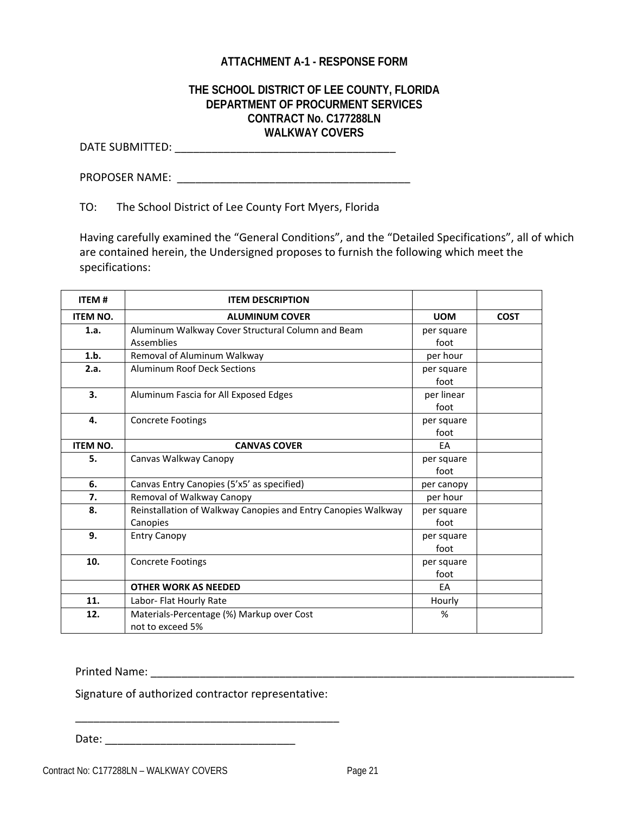# **ATTACHMENT A-1 - RESPONSE FORM**

# **THE SCHOOL DISTRICT OF LEE COUNTY, FLORIDA DEPARTMENT OF PROCURMENT SERVICES CONTRACT No. C177288LN WALKWAY COVERS**

DATE SUBMITTED: \_\_\_\_\_\_\_\_\_\_\_\_\_\_\_\_\_\_\_\_\_\_\_\_\_\_\_\_\_\_\_\_\_\_\_\_

PROPOSER NAME: \_\_\_\_\_\_\_\_\_\_\_\_\_\_\_\_\_\_\_\_\_\_\_\_\_\_\_\_\_\_\_\_\_\_\_\_\_\_

TO: The School District of Lee County Fort Myers, Florida

Having carefully examined the "General Conditions", and the "Detailed Specifications", all of which are contained herein, the Undersigned proposes to furnish the following which meet the specifications:

| <b>ITEM#</b>    | <b>ITEM DESCRIPTION</b>                                                   |                    |             |
|-----------------|---------------------------------------------------------------------------|--------------------|-------------|
| <b>ITEM NO.</b> | <b>ALUMINUM COVER</b>                                                     | <b>UOM</b>         | <b>COST</b> |
| 1.a.            | Aluminum Walkway Cover Structural Column and Beam<br><b>Assemblies</b>    | per square<br>foot |             |
| 1.b.            | Removal of Aluminum Walkway                                               | per hour           |             |
| 2.a.            | <b>Aluminum Roof Deck Sections</b>                                        | per square<br>foot |             |
| 3.              | Aluminum Fascia for All Exposed Edges                                     | per linear<br>foot |             |
| 4.              | <b>Concrete Footings</b>                                                  | per square<br>foot |             |
| <b>ITEM NO.</b> | <b>CANVAS COVER</b>                                                       | EA                 |             |
| 5.              | Canvas Walkway Canopy                                                     | per square<br>foot |             |
| 6.              | Canvas Entry Canopies (5'x5' as specified)                                | per canopy         |             |
| 7.              | Removal of Walkway Canopy                                                 | per hour           |             |
| 8.              | Reinstallation of Walkway Canopies and Entry Canopies Walkway<br>Canopies | per square<br>foot |             |
| 9.              | <b>Entry Canopy</b>                                                       | per square<br>foot |             |
| 10.             | <b>Concrete Footings</b>                                                  | per square<br>foot |             |
|                 | <b>OTHER WORK AS NEEDED</b>                                               | EA                 |             |
| 11.             | Labor- Flat Hourly Rate                                                   | Hourly             |             |
| 12.             | Materials-Percentage (%) Markup over Cost<br>not to exceed 5%             | $\%$               |             |

Printed Name: \_\_\_\_\_\_\_\_\_\_\_\_\_\_\_\_\_\_\_\_\_\_\_\_\_\_\_\_\_\_\_\_\_\_\_\_\_\_\_\_\_\_\_\_\_\_\_\_\_\_\_\_\_\_\_\_\_\_\_\_\_\_\_\_\_\_\_\_\_

Signature of authorized contractor representative:

Date: \_\_\_\_\_\_\_\_\_\_\_\_\_\_\_\_\_\_\_\_\_\_\_\_\_\_\_\_\_\_\_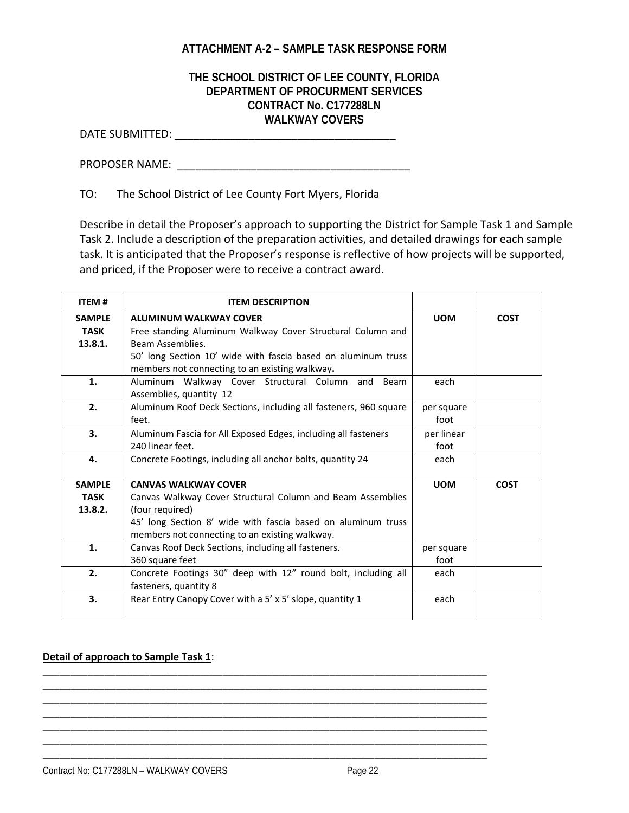# **ATTACHMENT A-2 – SAMPLE TASK RESPONSE FORM**

# **THE SCHOOL DISTRICT OF LEE COUNTY, FLORIDA DEPARTMENT OF PROCURMENT SERVICES CONTRACT No. C177288LN WALKWAY COVERS**

DATE SUBMITTED: \_\_\_\_\_\_\_\_\_\_\_\_\_\_\_\_\_\_\_\_\_\_\_\_\_\_\_\_\_\_\_\_\_\_\_\_

PROPOSER NAME:  $\blacksquare$ 

TO: The School District of Lee County Fort Myers, Florida

Describe in detail the Proposer's approach to supporting the District for Sample Task 1 and Sample Task 2. Include a description of the preparation activities, and detailed drawings for each sample task. It is anticipated that the Proposer's response is reflective of how projects will be supported, and priced, if the Proposer were to receive a contract award.

| <b>ITEM#</b>   | <b>ITEM DESCRIPTION</b>                                          |            |             |
|----------------|------------------------------------------------------------------|------------|-------------|
| <b>SAMPLE</b>  | <b>ALUMINUM WALKWAY COVER</b>                                    | <b>UOM</b> | <b>COST</b> |
| <b>TASK</b>    | Free standing Aluminum Walkway Cover Structural Column and       |            |             |
| 13.8.1.        | Beam Assemblies.                                                 |            |             |
|                | 50' long Section 10' wide with fascia based on aluminum truss    |            |             |
|                | members not connecting to an existing walkway.                   |            |             |
| 1.             | Aluminum Walkway Cover Structural Column and Beam                | each       |             |
|                | Assemblies, quantity 12                                          |            |             |
| 2.             | Aluminum Roof Deck Sections, including all fasteners, 960 square | per square |             |
|                | feet.                                                            | foot       |             |
| 3.             | Aluminum Fascia for All Exposed Edges, including all fasteners   | per linear |             |
|                | 240 linear feet.                                                 | foot       |             |
| 4.             | Concrete Footings, including all anchor bolts, quantity 24       | each       |             |
|                |                                                                  |            |             |
| <b>SAMPLE</b>  | <b>CANVAS WALKWAY COVER</b>                                      | <b>UOM</b> | <b>COST</b> |
| <b>TASK</b>    | Canvas Walkway Cover Structural Column and Beam Assemblies       |            |             |
| 13.8.2.        | (four required)                                                  |            |             |
|                | 45' long Section 8' wide with fascia based on aluminum truss     |            |             |
|                | members not connecting to an existing walkway.                   |            |             |
| $\mathbf{1}$ . | Canvas Roof Deck Sections, including all fasteners.              | per square |             |
|                | 360 square feet                                                  | foot       |             |
| 2.             | Concrete Footings 30" deep with 12" round bolt, including all    | each       |             |
|                | fasteners, quantity 8                                            |            |             |
| 3.             | Rear Entry Canopy Cover with a 5' x 5' slope, quantity 1         | each       |             |
|                |                                                                  |            |             |

\_\_\_\_\_\_\_\_\_\_\_\_\_\_\_\_\_\_\_\_\_\_\_\_\_\_\_\_\_\_\_\_\_\_\_\_\_\_\_\_\_\_\_\_\_\_\_\_\_\_\_\_\_\_\_\_\_\_\_\_\_\_\_\_\_\_\_\_\_\_\_\_\_\_\_\_\_\_\_ \_\_\_\_\_\_\_\_\_\_\_\_\_\_\_\_\_\_\_\_\_\_\_\_\_\_\_\_\_\_\_\_\_\_\_\_\_\_\_\_\_\_\_\_\_\_\_\_\_\_\_\_\_\_\_\_\_\_\_\_\_\_\_\_\_\_\_\_\_\_\_\_\_\_\_\_\_\_\_ \_\_\_\_\_\_\_\_\_\_\_\_\_\_\_\_\_\_\_\_\_\_\_\_\_\_\_\_\_\_\_\_\_\_\_\_\_\_\_\_\_\_\_\_\_\_\_\_\_\_\_\_\_\_\_\_\_\_\_\_\_\_\_\_\_\_\_\_\_\_\_\_\_\_\_\_\_\_\_ \_\_\_\_\_\_\_\_\_\_\_\_\_\_\_\_\_\_\_\_\_\_\_\_\_\_\_\_\_\_\_\_\_\_\_\_\_\_\_\_\_\_\_\_\_\_\_\_\_\_\_\_\_\_\_\_\_\_\_\_\_\_\_\_\_\_\_\_\_\_\_\_\_\_\_\_\_\_\_ \_\_\_\_\_\_\_\_\_\_\_\_\_\_\_\_\_\_\_\_\_\_\_\_\_\_\_\_\_\_\_\_\_\_\_\_\_\_\_\_\_\_\_\_\_\_\_\_\_\_\_\_\_\_\_\_\_\_\_\_\_\_\_\_\_\_\_\_\_\_\_\_\_\_\_\_\_\_\_ \_\_\_\_\_\_\_\_\_\_\_\_\_\_\_\_\_\_\_\_\_\_\_\_\_\_\_\_\_\_\_\_\_\_\_\_\_\_\_\_\_\_\_\_\_\_\_\_\_\_\_\_\_\_\_\_\_\_\_\_\_\_\_\_\_\_\_\_\_\_\_\_\_\_\_\_\_\_\_ \_\_\_\_\_\_\_\_\_\_\_\_\_\_\_\_\_\_\_\_\_\_\_\_\_\_\_\_\_\_\_\_\_\_\_\_\_\_\_\_\_\_\_\_\_\_\_\_\_\_\_\_\_\_\_\_\_\_\_\_\_\_\_\_\_\_\_\_\_\_\_\_\_\_\_\_\_\_\_

#### **Detail of approach to Sample Task 1**: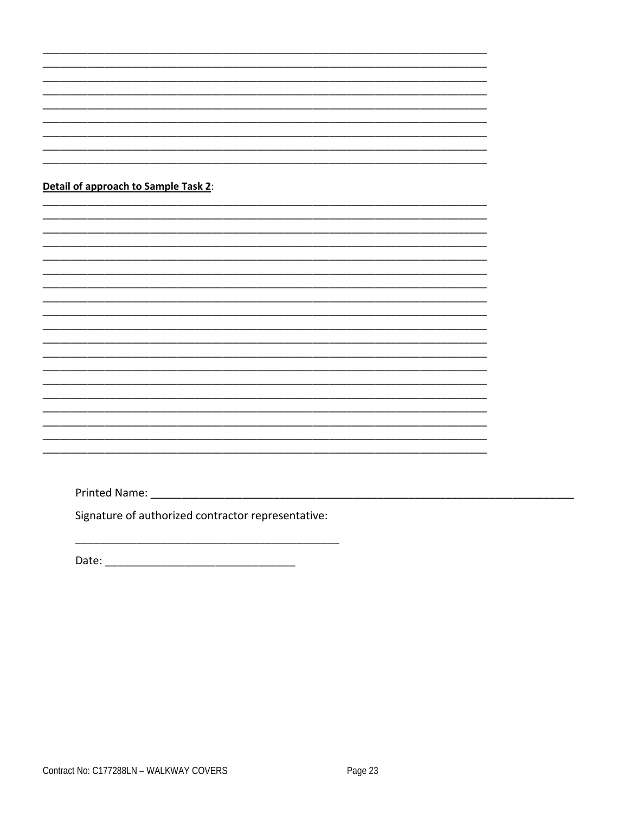|  |  | Detail of approach to Sample Task 2: |  |
|--|--|--------------------------------------|--|
|--|--|--------------------------------------|--|

Signature of authorized contractor representative:

 $\overline{\phantom{a}}$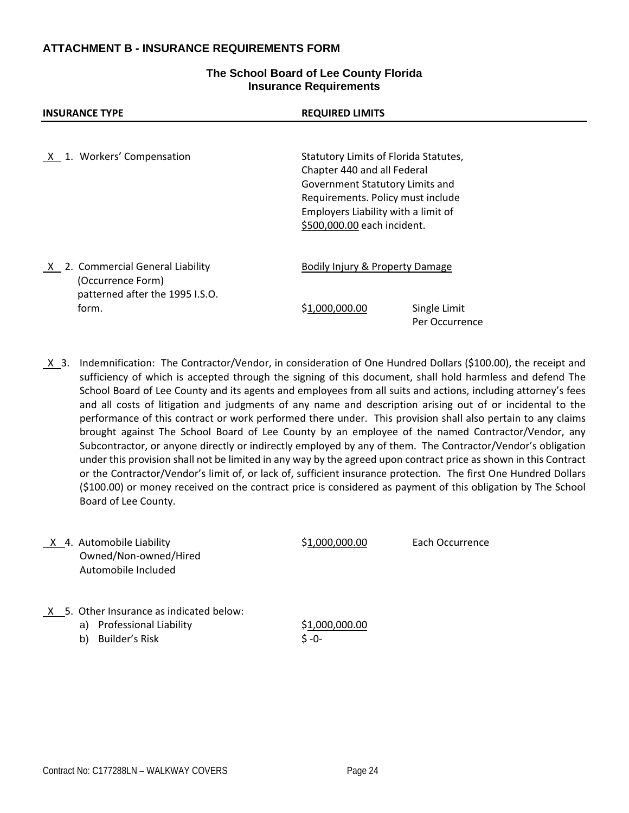### **ATTACHMENT B - INSURANCE REQUIREMENTS FORM**

#### **The School Board of Lee County Florida Insurance Requirements**

| <b>INSURANCE TYPE</b>                                  | <b>REQUIRED LIMITS</b>                                                                                                                                                                                             |  |
|--------------------------------------------------------|--------------------------------------------------------------------------------------------------------------------------------------------------------------------------------------------------------------------|--|
|                                                        |                                                                                                                                                                                                                    |  |
| X 1. Workers' Compensation                             | Statutory Limits of Florida Statutes,<br>Chapter 440 and all Federal<br>Government Statutory Limits and<br>Requirements. Policy must include<br>Employers Liability with a limit of<br>\$500,000.00 each incident. |  |
| X 2. Commercial General Liability<br>(Occurrence Form) | Bodily Injury & Property Damage                                                                                                                                                                                    |  |
| patterned after the 1995 I.S.O.<br>form.               | \$1,000,000.00<br>Single Limit<br>Per Occurrence                                                                                                                                                                   |  |

 X 3. Indemnification: The Contractor/Vendor, in consideration of One Hundred Dollars (\$100.00), the receipt and sufficiency of which is accepted through the signing of this document, shall hold harmless and defend The School Board of Lee County and its agents and employees from all suits and actions, including attorney's fees and all costs of litigation and judgments of any name and description arising out of or incidental to the performance of this contract or work performed there under. This provision shall also pertain to any claims brought against The School Board of Lee County by an employee of the named Contractor/Vendor, any Subcontractor, or anyone directly or indirectly employed by any of them. The Contractor/Vendor's obligation under this provision shall not be limited in any way by the agreed upon contract price as shown in this Contract or the Contractor/Vendor's limit of, or lack of, sufficient insurance protection. The first One Hundred Dollars (\$100.00) or money received on the contract price is considered as payment of this obligation by The School Board of Lee County.

| X 4. Automobile Liability<br>Owned/Non-owned/Hired<br>Automobile Included                                      | \$1,000,000.00              | Each Occurrence |
|----------------------------------------------------------------------------------------------------------------|-----------------------------|-----------------|
| X 5. Other Insurance as indicated below:<br><b>Professional Liability</b><br>a)<br><b>Builder's Risk</b><br>b) | \$1,000,000.00<br>$S - 0 -$ |                 |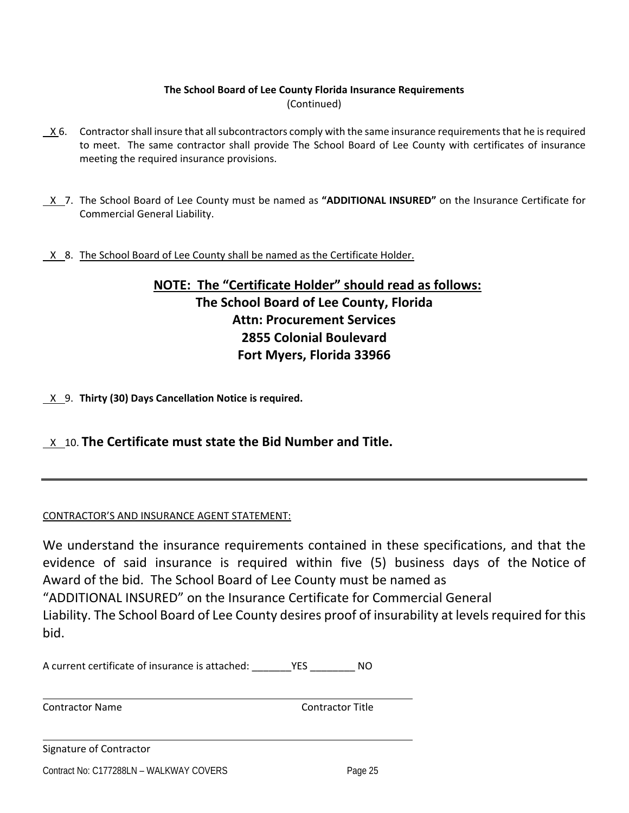# **The School Board of Lee County Florida Insurance Requirements** (Continued)

- X 6. Contractorshall insure that allsubcontractors comply with the same insurance requirementsthat he isrequired to meet. The same contractor shall provide The School Board of Lee County with certificates of insurance meeting the required insurance provisions.
- X 7. The School Board of Lee County must be named as **"ADDITIONAL INSURED"** on the Insurance Certificate for Commercial General Liability.
- X 8. The School Board of Lee County shall be named as the Certificate Holder.

# **NOTE: The "Certificate Holder" should read as follows: The School Board of Lee County, Florida Attn: Procurement Services 2855 Colonial Boulevard Fort Myers, Florida 33966**

X 9. **Thirty (30) Days Cancellation Notice is required.**

X 10. **The Certificate must state the Bid Number and Title.**

## CONTRACTOR'S AND INSURANCE AGENT STATEMENT:

We understand the insurance requirements contained in these specifications, and that the evidence of said insurance is required within five (5) business days of the Notice of Award of the bid. The School Board of Lee County must be named as "ADDITIONAL INSURED" on the Insurance Certificate for Commercial General Liability. The School Board of Lee County desires proof of insurability at levels required for this bid.

A current certificate of insurance is attached: \_\_\_\_\_\_\_YES \_\_\_\_\_\_\_\_ NO

<u> 1989 - Andrea Barbara, Amerikaansk politiker (d. 1989)</u>

<u> 1989 - Andrea Barbara, Amerikaansk politiker (d. 1989)</u>

Contractor Name Contractor Title

Signature of Contractor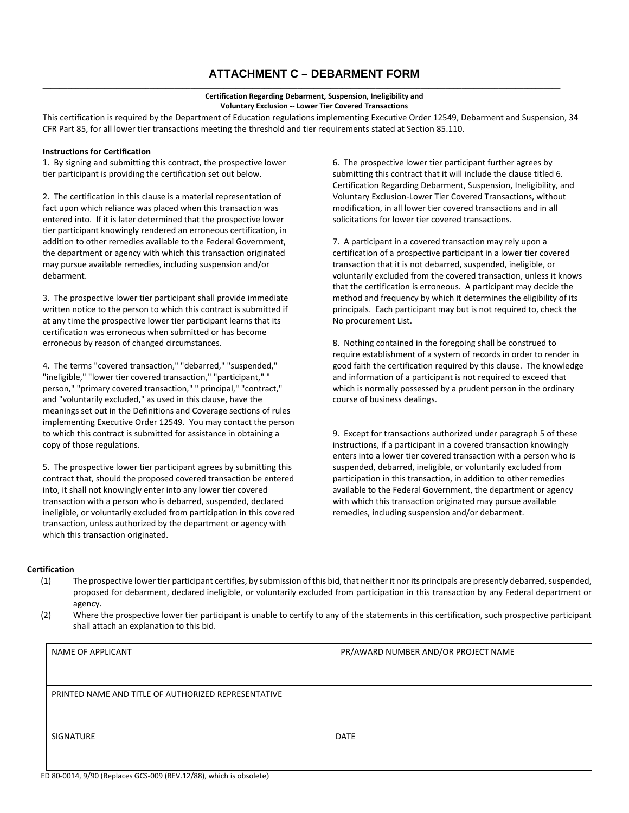# **ATTACHMENT C – DEBARMENT FORM**

#### **Certification Regarding Debarment, Suspension, Ineligibility and Voluntary Exclusion ‐‐ Lower Tier Covered Transactions**

\_\_\_\_\_\_\_\_\_\_\_\_\_\_\_\_\_\_\_\_\_\_\_\_\_\_\_\_\_\_\_\_\_\_\_\_\_\_\_\_\_\_\_\_\_\_\_\_\_\_\_\_\_\_\_\_\_\_\_\_\_\_\_\_\_\_\_\_\_\_\_\_\_\_\_\_\_\_\_\_\_\_\_\_\_\_\_\_\_\_\_\_\_\_\_\_\_\_\_\_\_\_\_\_\_\_\_\_\_\_\_\_\_\_\_\_\_\_\_\_\_\_\_\_\_\_

This certification is required by the Department of Education regulations implementing Executive Order 12549, Debarment and Suspension, 34 CFR Part 85, for all lower tier transactions meeting the threshold and tier requirements stated at Section 85.110.

#### **Instructions for Certification**

1. By signing and submitting this contract, the prospective lower tier participant is providing the certification set out below.

2. The certification in this clause is a material representation of fact upon which reliance was placed when this transaction was entered into. If it is later determined that the prospective lower tier participant knowingly rendered an erroneous certification, in addition to other remedies available to the Federal Government, the department or agency with which this transaction originated may pursue available remedies, including suspension and/or debarment.

3. The prospective lower tier participant shall provide immediate written notice to the person to which this contract is submitted if at any time the prospective lower tier participant learns that its certification was erroneous when submitted or has become erroneous by reason of changed circumstances.

4. The terms "covered transaction," "debarred," "suspended," "ineligible," "lower tier covered transaction," "participant," " person," "primary covered transaction," " principal," "contract," and "voluntarily excluded," as used in this clause, have the meanings set out in the Definitions and Coverage sections of rules implementing Executive Order 12549. You may contact the person to which this contract is submitted for assistance in obtaining a copy of those regulations.

5. The prospective lower tier participant agrees by submitting this contract that, should the proposed covered transaction be entered into, it shall not knowingly enter into any lower tier covered transaction with a person who is debarred, suspended, declared ineligible, or voluntarily excluded from participation in this covered transaction, unless authorized by the department or agency with which this transaction originated.

6. The prospective lower tier participant further agrees by submitting this contract that it will include the clause titled 6. Certification Regarding Debarment, Suspension, Ineligibility, and Voluntary Exclusion‐Lower Tier Covered Transactions, without modification, in all lower tier covered transactions and in all solicitations for lower tier covered transactions.

7. A participant in a covered transaction may rely upon a certification of a prospective participant in a lower tier covered transaction that it is not debarred, suspended, ineligible, or voluntarily excluded from the covered transaction, unless it knows that the certification is erroneous. A participant may decide the method and frequency by which it determines the eligibility of its principals. Each participant may but is not required to, check the No procurement List.

8. Nothing contained in the foregoing shall be construed to require establishment of a system of records in order to render in good faith the certification required by this clause. The knowledge and information of a participant is not required to exceed that which is normally possessed by a prudent person in the ordinary course of business dealings.

9. Except for transactions authorized under paragraph 5 of these instructions, if a participant in a covered transaction knowingly enters into a lower tier covered transaction with a person who is suspended, debarred, ineligible, or voluntarily excluded from participation in this transaction, in addition to other remedies available to the Federal Government, the department or agency with which this transaction originated may pursue available remedies, including suspension and/or debarment.

#### **Certification**

(1) The prospective lower tier participant certifies, by submission of this bid, that neither it nor its principals are presently debarred,suspended, proposed for debarment, declared ineligible, or voluntarily excluded from participation in this transaction by any Federal department or agency.

\_\_\_\_\_\_\_\_\_\_\_\_\_\_\_\_\_\_\_\_\_\_\_\_\_\_\_\_\_\_\_\_\_\_\_\_\_\_\_\_\_\_\_\_\_\_\_\_\_\_\_\_\_\_\_\_\_\_\_\_\_\_\_\_\_\_\_\_\_\_\_\_\_\_\_\_\_\_\_\_\_\_\_\_\_\_\_\_\_\_\_\_\_\_\_\_\_\_\_\_\_\_\_\_\_\_\_\_\_\_\_\_\_\_\_\_\_\_\_\_\_\_\_\_\_\_\_\_\_\_\_\_

(2) Where the prospective lower tier participant is unable to certify to any of the statements in this certification, such prospective participant shall attach an explanation to this bid.

NAME OF APPLICANT **Same and the set of the set of the set of the set of the set of the set of the set of the set of the set of the set of the set of the set of the set of the set of the set of the set of the set of the set** 

PRINTED NAME AND TITLE OF AUTHORIZED REPRESENTATIVE

SIGNATURE DATE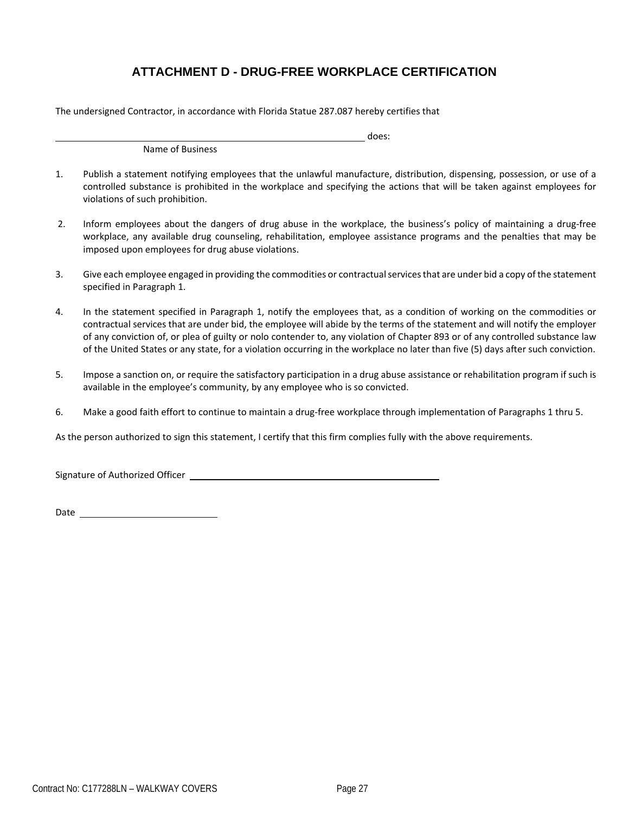# **ATTACHMENT D - DRUG-FREE WORKPLACE CERTIFICATION**

The undersigned Contractor, in accordance with Florida Statue 287.087 hereby certifies that

Name of Business

does:

- 1. Publish a statement notifying employees that the unlawful manufacture, distribution, dispensing, possession, or use of a controlled substance is prohibited in the workplace and specifying the actions that will be taken against employees for violations of such prohibition.
- 2. Inform employees about the dangers of drug abuse in the workplace, the business's policy of maintaining a drug-free workplace, any available drug counseling, rehabilitation, employee assistance programs and the penalties that may be imposed upon employees for drug abuse violations.
- 3. Give each employee engaged in providing the commodities or contractualservicesthat are under bid a copy of the statement specified in Paragraph 1.
- 4. In the statement specified in Paragraph 1, notify the employees that, as a condition of working on the commodities or contractual services that are under bid, the employee will abide by the terms of the statement and will notify the employer of any conviction of, or plea of guilty or nolo contender to, any violation of Chapter 893 or of any controlled substance law of the United States or any state, for a violation occurring in the workplace no later than five (5) days after such conviction.
- 5. Impose a sanction on, or require the satisfactory participation in a drug abuse assistance or rehabilitation program if such is available in the employee's community, by any employee who is so convicted.
- 6. Make a good faith effort to continue to maintain a drug‐free workplace through implementation of Paragraphs 1 thru 5.

As the person authorized to sign this statement, I certify that this firm complies fully with the above requirements.

Signature of Authorized Officer **contains the Contract of Authorized Officer** 

Date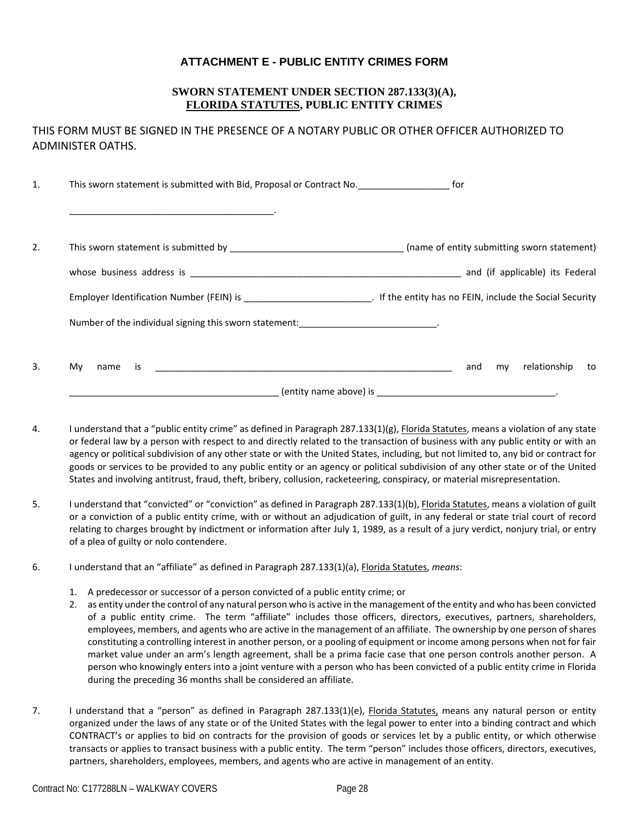# **ATTACHMENT E - PUBLIC ENTITY CRIMES FORM**

#### **SWORN STATEMENT UNDER SECTION 287.133(3)(A), FLORIDA STATUTES, PUBLIC ENTITY CRIMES**

THIS FORM MUST BE SIGNED IN THE PRESENCE OF A NOTARY PUBLIC OR OTHER OFFICER AUTHORIZED TO ADMINISTER OATHS.

| $\mathbf{1}$ . | This sworn statement is submitted with Bid, Proposal or Contract No. 60 [61] [61]                                  |                                 |
|----------------|--------------------------------------------------------------------------------------------------------------------|---------------------------------|
|                |                                                                                                                    |                                 |
| 2.             |                                                                                                                    |                                 |
|                |                                                                                                                    |                                 |
|                |                                                                                                                    |                                 |
|                | Number of the individual signing this sworn statement: [19] Number of the individual signing this sworn statement: |                                 |
| 3.             | Mv.<br>name is                                                                                                     | relationship<br>and<br>my<br>to |
|                |                                                                                                                    |                                 |

- 4. I understand that a "public entity crime" as defined in Paragraph 287.133(1)(g), *Elorida Statutes*, means a violation of any state or federal law by a person with respect to and directly related to the transaction of business with any public entity or with an agency or political subdivision of any other state or with the United States, including, but not limited to, any bid or contract for goods or services to be provided to any public entity or an agency or political subdivision of any other state or of the United States and involving antitrust, fraud, theft, bribery, collusion, racketeering, conspiracy, or material misrepresentation.
- 5. I understand that "convicted" or "conviction" as defined in Paragraph 287.133(1)(b), Florida Statutes, means a violation of guilt or a conviction of a public entity crime, with or without an adjudication of guilt, in any federal or state trial court of record relating to charges brought by indictment or information after July 1, 1989, as a result of a jury verdict, nonjury trial, or entry of a plea of guilty or nolo contendere.
- 6. I understand that an "affiliate" as defined in Paragraph 287.133(1)(a), Florida Statutes, *means*:
	- 1. A predecessor or successor of a person convicted of a public entity crime; or
	- 2. as entity under the control of any natural person who is active in the management of the entity and who has been convicted of a public entity crime. The term "affiliate" includes those officers, directors, executives, partners, shareholders, employees, members, and agents who are active in the management of an affiliate. The ownership by one person of shares constituting a controlling interest in another person, or a pooling of equipment or income among persons when not for fair market value under an arm's length agreement, shall be a prima facie case that one person controls another person. A person who knowingly enters into a joint venture with a person who has been convicted of a public entity crime in Florida during the preceding 36 months shall be considered an affiliate.
- 7. I understand that a "person" as defined in Paragraph 287.133(1)(e), *Elorida Statutes*, means any natural person or entity organized under the laws of any state or of the United States with the legal power to enter into a binding contract and which CONTRACT's or applies to bid on contracts for the provision of goods or services let by a public entity, or which otherwise transacts or applies to transact business with a public entity. The term "person" includes those officers, directors, executives, partners, shareholders, employees, members, and agents who are active in management of an entity.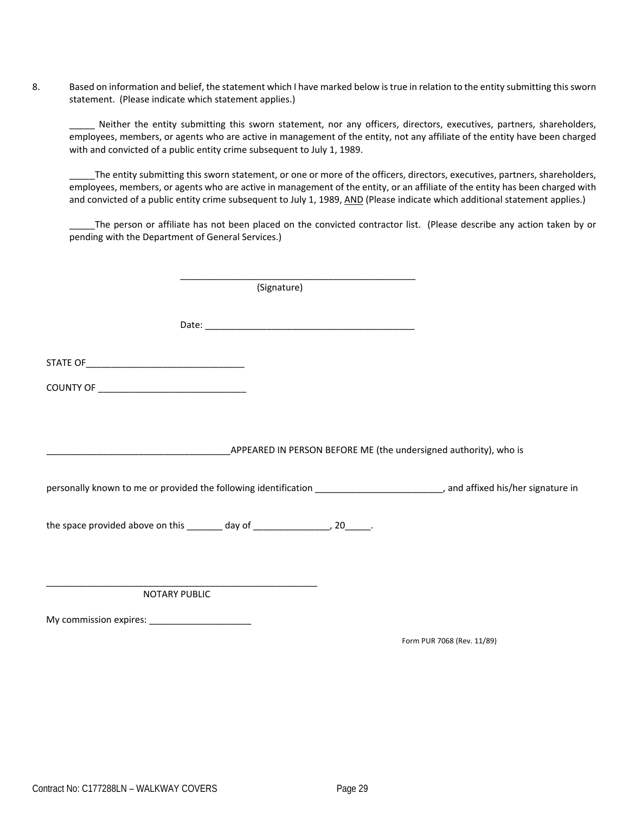8. Based on information and belief, the statement which I have marked below istrue in relation to the entity submitting thissworn statement. (Please indicate which statement applies.)

Neither the entity submitting this sworn statement, nor any officers, directors, executives, partners, shareholders, employees, members, or agents who are active in management of the entity, not any affiliate of the entity have been charged with and convicted of a public entity crime subsequent to July 1, 1989.

\_\_\_\_\_The entity submitting this sworn statement, or one or more of the officers, directors, executives, partners, shareholders, employees, members, or agents who are active in management of the entity, or an affiliate of the entity has been charged with and convicted of a public entity crime subsequent to July 1, 1989, AND (Please indicate which additional statement applies.)

The person or affiliate has not been placed on the convicted contractor list. (Please describe any action taken by or pending with the Department of General Services.)

 $\overline{\phantom{a}}$  ,  $\overline{\phantom{a}}$  ,  $\overline{\phantom{a}}$  ,  $\overline{\phantom{a}}$  ,  $\overline{\phantom{a}}$  ,  $\overline{\phantom{a}}$  ,  $\overline{\phantom{a}}$  ,  $\overline{\phantom{a}}$  ,  $\overline{\phantom{a}}$  ,  $\overline{\phantom{a}}$  ,  $\overline{\phantom{a}}$  ,  $\overline{\phantom{a}}$  ,  $\overline{\phantom{a}}$  ,  $\overline{\phantom{a}}$  ,  $\overline{\phantom{a}}$  ,  $\overline{\phantom{a}}$  (Signature) Date:  $\Box$ STATE OF COUNTY OF \_\_\_\_\_\_\_\_\_\_\_\_\_\_\_\_\_\_\_\_\_\_\_\_\_\_\_\_\_ \_APPEARED IN PERSON BEFORE ME (the undersigned authority), who is personally known to me or provided the following identification \_\_\_\_\_\_\_\_\_\_\_\_\_\_\_\_\_\_\_\_\_\_\_\_, and affixed his/her signature in the space provided above on this  $\qquad \qquad$  day of  $\qquad \qquad$ , 20  $\qquad \qquad$ . \_\_\_\_\_\_\_\_\_\_\_\_\_\_\_\_\_\_\_\_\_\_\_\_\_\_\_\_\_\_\_\_\_\_\_\_\_\_\_\_\_\_\_\_\_\_\_\_\_\_\_\_\_ NOTARY PUBLIC My commission expires: \_\_\_\_\_\_\_\_\_\_\_\_\_\_\_\_\_\_\_\_

Form PUR 7068 (Rev. 11/89)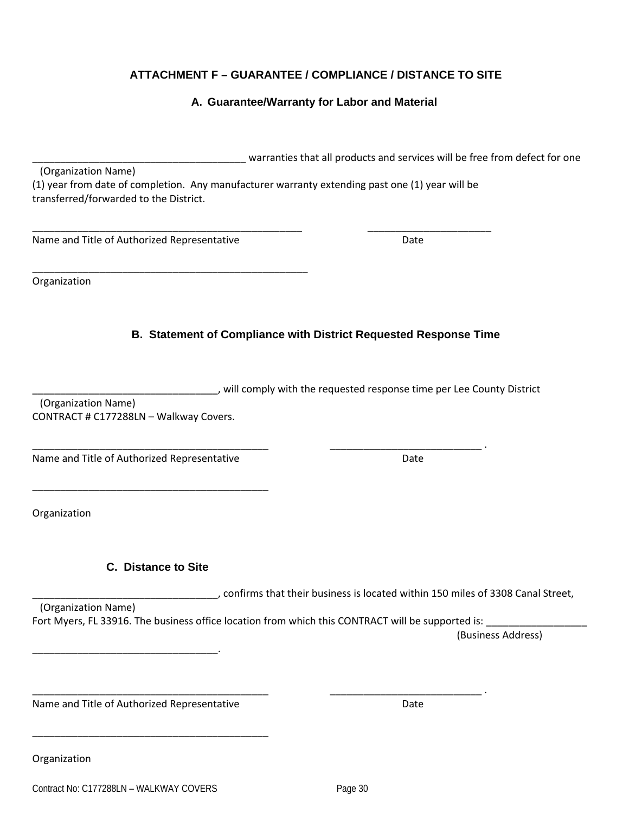# **ATTACHMENT F – GUARANTEE / COMPLIANCE / DISTANCE TO SITE**

# **A. Guarantee/Warranty for Labor and Material**

| (Organization Name)                                                                             |  |
|-------------------------------------------------------------------------------------------------|--|
| (1) year from date of completion. Any manufacturer warranty extending past one (1) year will be |  |
| transferred/forwarded to the District.                                                          |  |
|                                                                                                 |  |
|                                                                                                 |  |

Name and Title of Authorized Representative **Solution Contains Container Authorize** Date

\_\_\_\_\_\_\_\_\_\_\_\_\_\_\_\_\_\_\_\_\_\_\_\_\_\_\_\_\_\_\_\_\_\_\_\_\_\_\_\_\_\_\_\_\_\_\_\_\_

Organization

# **B. Statement of Compliance with District Requested Response Time**

\_\_\_\_\_\_\_\_\_\_\_\_\_\_\_\_\_\_\_\_\_\_\_\_\_\_\_\_\_\_\_\_\_, will comply with the requested response time per Lee County District

 (Organization Name) CONTRACT # C177288LN – Walkway Covers.

Name and Title of Authorized Representative **Solution Contains Container Authorize** Date

\_\_\_\_\_\_\_\_\_\_\_\_\_\_\_\_\_\_\_\_\_\_\_\_\_\_\_\_\_\_\_\_\_\_\_\_\_\_\_\_\_\_

**Organization** 

**Organization** 

**C. Distance to Site** 

\_\_\_\_\_\_\_\_\_\_\_\_\_\_\_\_\_\_\_\_\_\_\_\_\_\_\_\_\_\_\_\_\_.

\_\_\_\_\_\_\_\_\_\_\_\_\_\_\_\_\_\_\_\_\_\_\_\_\_\_\_\_\_\_\_\_\_\_\_\_\_\_\_\_\_\_

confirms that their business is located within 150 miles of 3308 Canal Street,

 (Organization Name) Fort Myers, FL 33916. The business office location from which this CONTRACT will be supported is: \_\_\_\_\_\_\_\_\_\_\_\_

\_\_\_\_\_\_\_\_\_\_\_\_\_\_\_\_\_\_\_\_\_\_\_\_\_\_\_\_\_\_\_\_\_\_\_\_\_\_\_\_\_\_ \_\_\_\_\_\_\_\_\_\_\_\_\_\_\_\_\_\_\_\_\_\_\_\_\_\_\_ .

(Business Address)

Name and Title of Authorized Representative **Solution Contact Authorized Representative Cate** 

warranties that all products and services will be free from defect for one

\_\_\_\_\_\_\_\_\_\_\_\_\_\_\_\_\_\_\_\_\_\_\_\_\_\_\_\_\_\_\_\_\_\_\_\_\_\_\_\_\_\_ \_\_\_\_\_\_\_\_\_\_\_\_\_\_\_\_\_\_\_\_\_\_\_\_\_\_\_ .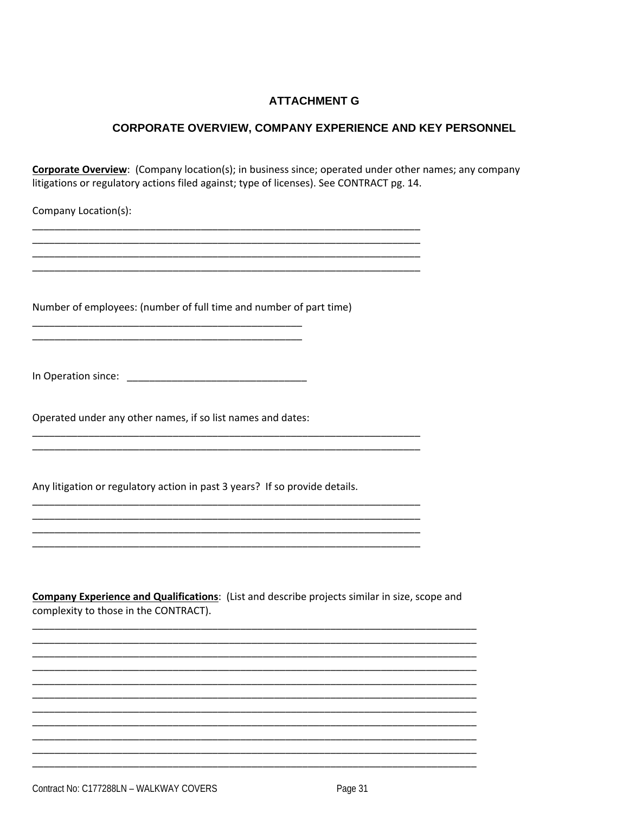# **ATTACHMENT G**

#### **CORPORATE OVERVIEW, COMPANY EXPERIENCE AND KEY PERSONNEL**

Corporate Overview: (Company location(s); in business since; operated under other names; any company litigations or regulatory actions filed against; type of licenses). See CONTRACT pg. 14.

Company Location(s):

Number of employees: (number of full time and number of part time)

Operated under any other names, if so list names and dates:

Any litigation or regulatory action in past 3 years? If so provide details.

Company Experience and Qualifications: (List and describe projects similar in size, scope and complexity to those in the CONTRACT).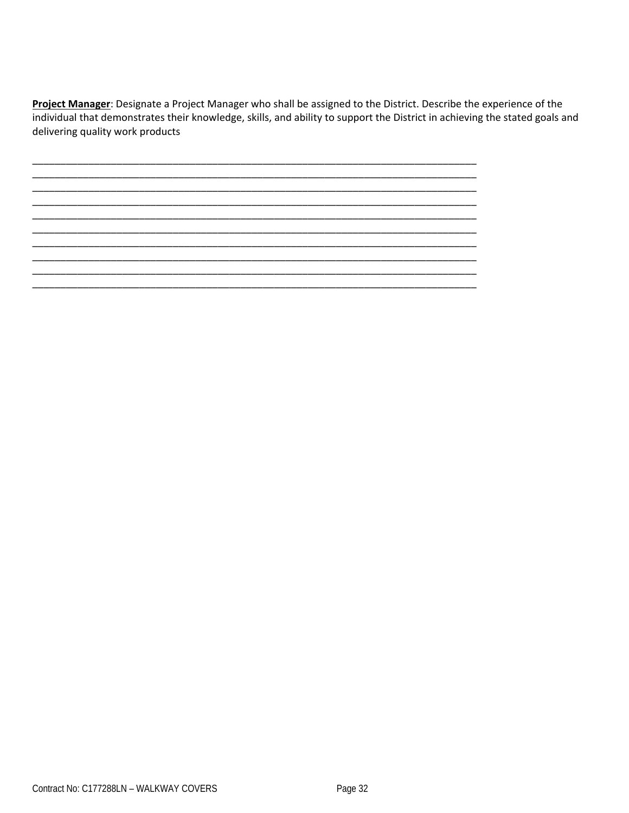Project Manager: Designate a Project Manager who shall be assigned to the District. Describe the experience of the individual that demonstrates their knowledge, skills, and ability to support the District in achieving the stated goals and delivering quality work products

Contract No: C177288LN - WALKWAY COVERS